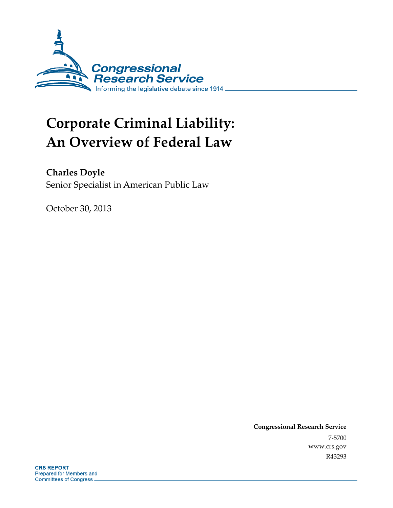

# **Corporate Criminal Liability: An Overview of Federal Law**

**Charles Doyle** 

Senior Specialist in American Public Law

October 30, 2013

**Congressional Research Service**  7-5700 www.crs.gov R43293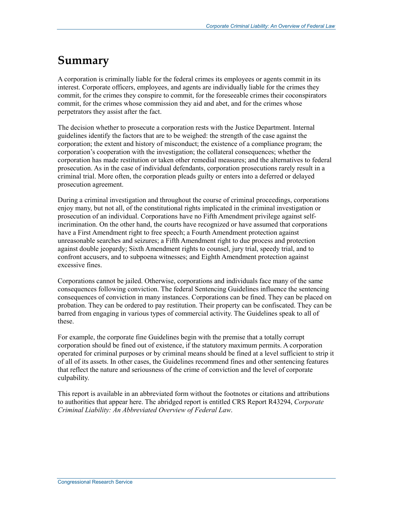## **Summary**

A corporation is criminally liable for the federal crimes its employees or agents commit in its interest. Corporate officers, employees, and agents are individually liable for the crimes they commit, for the crimes they conspire to commit, for the foreseeable crimes their coconspirators commit, for the crimes whose commission they aid and abet, and for the crimes whose perpetrators they assist after the fact.

The decision whether to prosecute a corporation rests with the Justice Department. Internal guidelines identify the factors that are to be weighed: the strength of the case against the corporation; the extent and history of misconduct; the existence of a compliance program; the corporation's cooperation with the investigation; the collateral consequences; whether the corporation has made restitution or taken other remedial measures; and the alternatives to federal prosecution. As in the case of individual defendants, corporation prosecutions rarely result in a criminal trial. More often, the corporation pleads guilty or enters into a deferred or delayed prosecution agreement.

During a criminal investigation and throughout the course of criminal proceedings, corporations enjoy many, but not all, of the constitutional rights implicated in the criminal investigation or prosecution of an individual. Corporations have no Fifth Amendment privilege against selfincrimination. On the other hand, the courts have recognized or have assumed that corporations have a First Amendment right to free speech; a Fourth Amendment protection against unreasonable searches and seizures; a Fifth Amendment right to due process and protection against double jeopardy; Sixth Amendment rights to counsel, jury trial, speedy trial, and to confront accusers, and to subpoena witnesses; and Eighth Amendment protection against excessive fines.

Corporations cannot be jailed. Otherwise, corporations and individuals face many of the same consequences following conviction. The federal Sentencing Guidelines influence the sentencing consequences of conviction in many instances. Corporations can be fined. They can be placed on probation. They can be ordered to pay restitution. Their property can be confiscated. They can be barred from engaging in various types of commercial activity. The Guidelines speak to all of these.

For example, the corporate fine Guidelines begin with the premise that a totally corrupt corporation should be fined out of existence, if the statutory maximum permits. A corporation operated for criminal purposes or by criminal means should be fined at a level sufficient to strip it of all of its assets. In other cases, the Guidelines recommend fines and other sentencing features that reflect the nature and seriousness of the crime of conviction and the level of corporate culpability.

This report is available in an abbreviated form without the footnotes or citations and attributions to authorities that appear here. The abridged report is entitled CRS Report R43294, *Corporate Criminal Liability: An Abbreviated Overview of Federal Law*.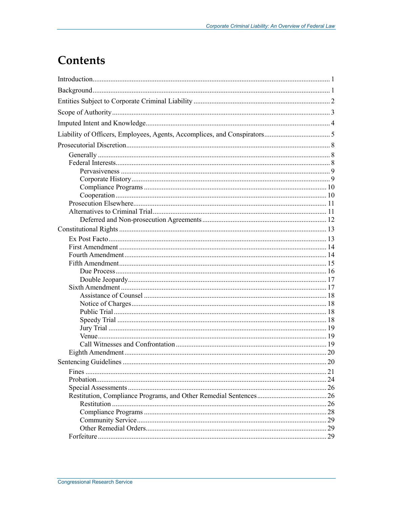## **Contents**

| <b>Sentencing Guidelines</b> | .20 |
|------------------------------|-----|
|                              |     |
|                              |     |
|                              |     |
|                              |     |
|                              |     |
|                              |     |
|                              |     |
|                              |     |
|                              |     |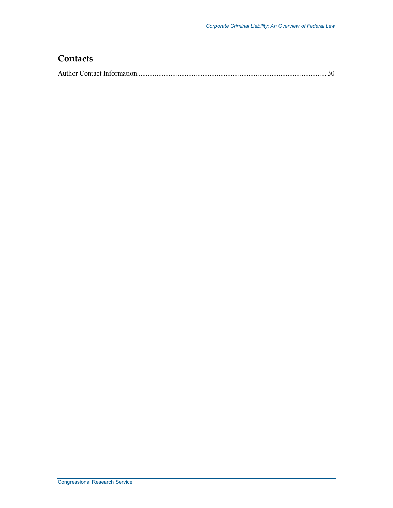## **Contacts**

|--|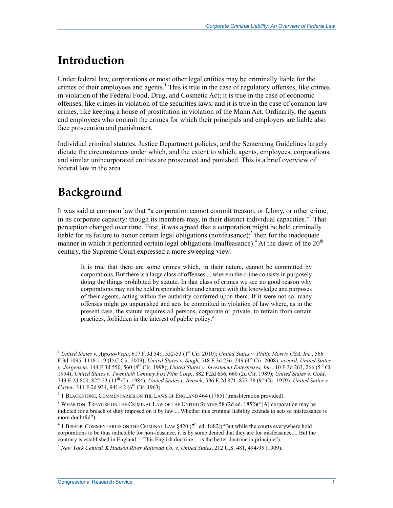## **Introduction**

Under federal law, corporations or most other legal entities may be criminally liable for the crimes of their employees and agents.<sup>1</sup> This is true in the case of regulatory offenses, like crimes in violation of the Federal Food, Drug, and Cosmetic Act; it is true in the case of economic offenses, like crimes in violation of the securities laws; and it is true in the case of common law crimes, like keeping a house of prostitution in violation of the Mann Act. Ordinarily, the agents and employees who commit the crimes for which their principals and employers are liable also face prosecution and punishment.

Individual criminal statutes, Justice Department policies, and the Sentencing Guidelines largely dictate the circumstances under which, and the extent to which, agents, employees, corporations, and similar unincorporated entities are prosecuted and punished. This is a brief overview of federal law in the area.

## **Background**

<u>.</u>

It was said at common law that "a corporation cannot commit treason, or felony, or other crime, in its corporate capacity: though its members may, in their distinct individual capacities."<sup>2</sup> That perception changed over time. First, it was agreed that a corporation might be held criminally liable for its failure to honor certain legal obligations (nonfeasance);<sup>3</sup> then for the inadequate manner in which it performed certain legal obligations (malfeasance).<sup>4</sup> At the dawn of the  $20<sup>th</sup>$ century, the Supreme Court expressed a more sweeping view:

It is true that there are some crimes which, in their nature, cannot be committed by corporations. But there is a large class of offenses ... wherein the crime consists in purposely doing the things prohibited by statute. In that class of crimes we see no good reason why corporations may not be held responsible for and charged with the knowledge and purposes of their agents, acting within the authority conferred upon them. If it were not so, many offenses might go unpunished and acts be committed in violation of law where, as in the present case, the statute requires all persons, corporate or private, to refrain from certain practices, forbidden in the interest of public policy.<sup>5</sup>

<sup>&</sup>lt;sup>1</sup> United States v. Agosto-Vega, 617 F.3d 541, 552-53 (1<sup>st</sup> Cir. 2010); *United States v. Philip Morris USA, Inc.*, 566 F.3d 1095, 1118-119 (D.C.Cir. 2009); *United States v. Singh*, 518 F.3d 236, 249 (4th Cir. 2008); *accord*, *United States v. Jorgensen*, 144 F.3d 550, 560 (8th Cir. 1998); *United States v. Investment Enterprises, Inc.*, 10 F.3d 263, 266 (5th Cir. 1994); *United States v. Twentieth Century Fox Film Corp.*, 882 F.2d 656, 660 (2d Cir. 1989); *United States v. Gold*, 743 F.2d 800, 822-23 (11th Cir. 1984); *United States v. Beusch*, 596 F.2d 871, 877-78 (9th Cir. 1979); *United States v. Carter*, 311 F.2d 934, 941-42 (6<sup>th</sup> Cir. 1963).

 $2$  1 BLACKSTONE, COMMENTARIES ON THE LAWS OF ENGLAND 464 (1765) (transliteration provided).

<sup>&</sup>lt;sup>3</sup> WHARTON, TREATISE ON THE CRIMINAL LAW OF THE UNITED STATES 58 (2d ed. 1852)("[A] corporation may be indicted for a breach of duty imposed on it by law ... Whether this criminal liability extends to acts of misfeasance is more doubtful").

 $4$  1 BISHOP, COMMENTARIES ON THE CRIMINAL LAW  $\S 420$  ( $7<sup>th</sup>$  ed. 1882)("But while the courts everywhere hold corporations to be thus indictable for non-feasance, it is by some denied that they are for misfeasance.... But the contrary is established in England ... This English doctrine ... is the better doctrine in principle").

<sup>5</sup> *New York Central & Hudson River Railroad Co. v. United States*, 212 U.S. 481, 494-95 (1909).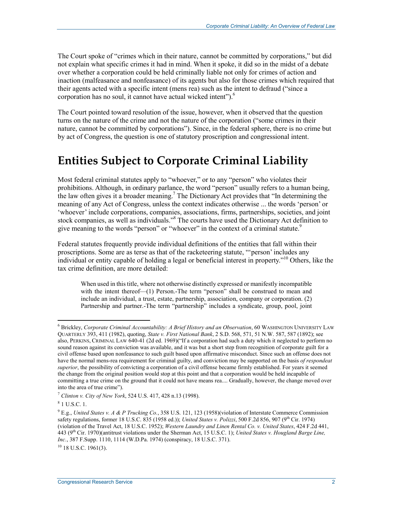The Court spoke of "crimes which in their nature, cannot be committed by corporations," but did not explain what specific crimes it had in mind. When it spoke, it did so in the midst of a debate over whether a corporation could be held criminally liable not only for crimes of action and inaction (malfeasance and nonfeasance) of its agents but also for those crimes which required that their agents acted with a specific intent (mens rea) such as the intent to defraud ("since a corporation has no soul, it cannot have actual wicked intent").<sup>6</sup>

The Court pointed toward resolution of the issue, however, when it observed that the question turns on the nature of the crime and not the nature of the corporation ("some crimes in their nature, cannot be committed by corporations"). Since, in the federal sphere, there is no crime but by act of Congress, the question is one of statutory proscription and congressional intent.

## **Entities Subject to Corporate Criminal Liability**

Most federal criminal statutes apply to "whoever," or to any "person" who violates their prohibitions. Although, in ordinary parlance, the word "person" usually refers to a human being, the law often gives it a broader meaning.<sup>7</sup> The Dictionary Act provides that "In determining the meaning of any Act of Congress, unless the context indicates otherwise ... the words 'person' or 'whoever' include corporations, companies, associations, firms, partnerships, societies, and joint stock companies, as well as individuals."<sup>8</sup> The courts have used the Dictionary Act definition to give meaning to the words "person" or "whoever" in the context of a criminal statute.<sup>9</sup>

Federal statutes frequently provide individual definitions of the entities that fall within their proscriptions. Some are as terse as that of the racketeering statute, "'person' includes any individual or entity capable of holding a legal or beneficial interest in property."10 Others, like the tax crime definition, are more detailed:

When used in this title, where not otherwise distinctly expressed or manifestly incompatible with the intent thereof—(1) Person.-The term "person" shall be construed to mean and include an individual, a trust, estate, partnership, association, company or corporation. (2) Partnership and partner.-The term "partnership" includes a syndicate, group, pool, joint

<sup>&</sup>lt;sup>6</sup> Brickley, *Corporate Criminal Accountability: A Brief History and an Observation*, 60 WASHINGTON UNIVERSITY LAW QUARTERLY 393, 411 (1982), quoting, *State v. First National Bank*, 2 S.D. 568, 571, 51 N.W. 587, 587 (1892); see also, PERKINS, CRIMINAL LAW 640-41 (2d ed. 1969)("If a corporation had such a duty which it neglected to perform no sound reason against its conviction was available, and it was but a short step from recognition of corporate guilt for a civil offense based upon nonfeasance to such guilt based upon affirmative misconduct. Since such an offense does not have the normal mens-rea requirement for criminal guilty, and conviction may be supported on the basis *of respondeat superior*, the possibility of convicting a corporation of a civil offense became firmly established. For years it seemed the change from the original position would stop at this point and that a corporation would be held incapable of committing a true crime on the ground that it could not have means rea.... Gradually, however, the change moved over into the area of true crime").

<sup>7</sup> *Clinton v. City of New York*, 524 U.S. 417, 428 n.13 (1998).

<sup>8</sup> 1 U.S.C. 1.

<sup>&</sup>lt;sup>9</sup> E.g., *United States v. A & P Trucking Co.*, 358 U.S. 121, 123 (1958)(violation of Interstate Commerce Commission safety regulations, former 18 U.S.C. 835 (1958 ed.)); *United States v. Polizzi*, 500 F.2d 856, 907 (9<sup>th</sup> Cir. 1974) (violation of the Travel Act, 18 U.S.C. 1952); *Western Laundry and Linen Rental Co. v. United States*, 424 F.2d 441, 443 (9th Cir. 1970)(antitrust violations under the Sherman Act, 15 U.S.C. 1); *United States v. Hougland Barge Line, Inc.*, 387 F.Supp. 1110, 1114 (W.D.Pa. 1974) (conspiracy, 18 U.S.C. 371).

 $10$  18 U.S.C. 1961(3).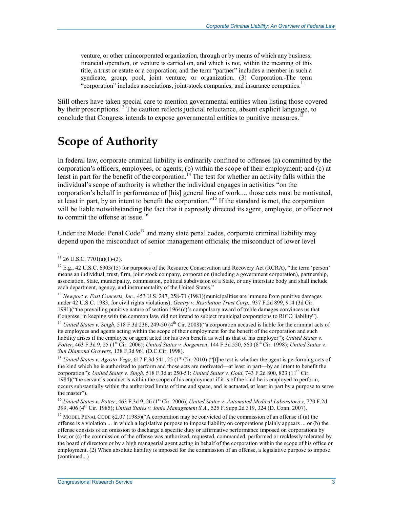venture, or other unincorporated organization, through or by means of which any business, financial operation, or venture is carried on, and which is not, within the meaning of this title, a trust or estate or a corporation; and the term "partner" includes a member in such a syndicate, group, pool, joint venture, or organization. (3) Corporation.-The term "corporation" includes associations, joint-stock companies, and insurance companies.<sup>11</sup>

Still others have taken special care to mention governmental entities when listing those covered by their proscriptions.<sup>12</sup> The caution reflects judicial reluctance, absent explicit language, to conclude that Congress intends to expose governmental entities to punitive measures.<sup>13</sup>

## **Scope of Authority**

In federal law, corporate criminal liability is ordinarily confined to offenses (a) committed by the corporation's officers, employees, or agents; (b) within the scope of their employment; and (c) at least in part for the benefit of the corporation.<sup>14</sup> The test for whether an activity falls within the individual's scope of authority is whether the individual engages in activities "on the corporation's behalf in performance of [his] general line of work.... those acts must be motivated, at least in part, by an intent to benefit the corporation."15 If the standard is met, the corporation will be liable notwithstanding the fact that it expressly directed its agent, employee, or officer not to commit the offense at issue.<sup>16</sup>

Under the Model Penal Code<sup>17</sup> and many state penal codes, corporate criminal liability may depend upon the misconduct of senior management officials; the misconduct of lower level

 $11$  26 U.S.C. 7701(a)(1)-(3).

 $^{12}$  E.g., 42 U.S.C. 6903(15) for purposes of the Resource Conservation and Recovery Act (RCRA), "the term 'person' means an individual, trust, firm, joint stock company, corporation (including a government corporation), partnership, association, State, municipality, commission, political subdivision of a State, or any interstate body and shall include each department, agency, and instrumentality of the United States."

<sup>&</sup>lt;sup>13</sup> *Newport v. Fast Concerts, Inc.*, 453 U.S. 247, 258-71 (1981)(municipalities are immune from punitive damages under 42 U.S.C. 1983, for civil rights violations); *Gentry v. Resolution Trust Corp*., 937 F.2d 899, 914 (3d Cir. 1991)("the prevailing punitive nature of section 1964(c)'s compulsory award of treble damages convinces us that Congress, in keeping with the common law, did not intend to subject municipal corporations to RICO liability").

<sup>&</sup>lt;sup>14</sup> *United States v. Singh*, 518 F.3d 236, 249-50 (4<sup>th</sup> Cir. 2008)("a corporation accused is liable for the criminal acts of its employees and agents acting within the scope of their employment for the benefit of the corporation and such liability arises if the employee or agent acted for his own benefit as well as that of his employer"); *United States v. Potter*, 463 F.3d 9, 25 (1st Cir. 2006); *United States v. Jorgensen*, 144 F.3d 550, 560 (8th Cir. 1998); *United States v. Sun Diamond Growers*, 138 F.3d 961 (D.C.Cir. 1998).

<sup>&</sup>lt;sup>15</sup> *United States v. Agosto-Vega*, 617 F.3d 541, 25 ( $1<sup>st</sup>$  Cir. 2010) ("[t]he test is whether the agent is performing acts of the kind which he is authorized to perform and those acts are motivated—at least in part—by an intent to benefit the corporation"); *United States v. Singh*, 518 F.3d at 250-51; *United States v. Gold*, 743 F.2d 800, 823 (11th Cir. 1984)("the servant's conduct is within the scope of his employment if it is of the kind he is employed to perform, occurs substantially within the authorized limits of time and space, and is actuated, at least in part by a purpose to serve the master").

<sup>&</sup>lt;sup>16</sup> United States v. Potter, 463 F.3d 9, 26 (1<sup>st</sup> Cir. 2006); *United States v. Automated Medical Laboratories*, 770 F.2d 399, 406 (4th Cir. 1985); *United States v. Ionia Management S.A.*, 525 F.Supp.2d 319, 324 (D. Conn. 2007).

<sup>&</sup>lt;sup>17</sup> MODEL PENAL CODE §2.07 (1985)("A corporation may be convicted of the commission of an offense if (a) the offense is a violation ... in which a legislative purpose to impose liability on corporations plainly appears ... or (b) the offense consists of an omission to discharge a specific duty or affirmative performance imposed on corporations by law; or (c) the commission of the offense was authorized, requested, commanded, performed or recklessly tolerated by the board of directors or by a high managerial agent acting in behalf of the corporation within the scope of his office or employment. (2) When absolute liability is imposed for the commission of an offense, a legislative purpose to impose (continued...)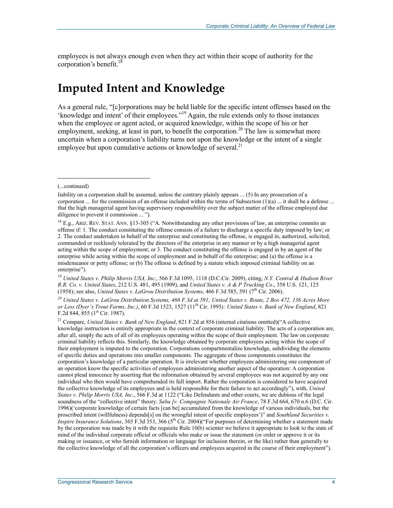employees is not always enough even when they act within their scope of authority for the corporation's benefit.<sup>18</sup>

## **Imputed Intent and Knowledge**

As a general rule, "[c]orporations may be held liable for the specific intent offenses based on the 'knowledge and intent' of their employees."19 Again, the rule extends only to those instances when the employee or agent acted, or acquired knowledge, within the scope of his or her employment, seeking, at least in part, to benefit the corporation.<sup>20</sup> The law is somewhat more uncertain when a corporation's liability turns not upon the knowledge or the intent of a single employee but upon cumulative actions or knowledge of several.<sup>21</sup>

 $\overline{a}$ 

<sup>19</sup> *United States v. Philip Morris USA, Inc*., 566 F.3d 1095, 1118 (D.C.Cir. 2009), citing, *N.Y. Central & Hudson River R.R. Co. v. United States*, 212 U.S. 481, 495 (1909), and *United States v. A & P Trucking Co*., 358 U.S. 121, 125 (1958); see also, *United States v. LaGrou Distribution Systems*, 466 F.3d 585, 591 (7<sup>th</sup> Cir. 2006).

*20 United States v. LaGrou Distribution Systems, 466 F.3d at 591; United States v. Route, 2 Box 472, 136 Acres More or Less (Dyer's Trout Farms, Inc.)*, 60 F.3d 1523, 1527 (11th Cir. 1995*); United States v. Bank of New England*, 821 F.2d 844, 855 ( $1<sup>st</sup>$  Cir. 1987).

21 Compare, *United States v. Bank of New England*, 821 F.2d at 856 (internal citations omitted)("A collective knowledge instruction is entirely appropriate in the context of corporate criminal liability. The acts of a corporation are, after all, simply the acts of all of its employees operating within the scope of their employment. The law on corporate criminal liability reflects this. Similarly, the knowledge obtained by corporate employees acting within the scope of their employment is imputed to the corporation. Corporations compartmentalize knowledge, subdividing the elements of specific duties and operations into smaller components. The aggregate of those components constitutes the corporation's knowledge of a particular operation. It is irrelevant whether employees administering one component of an operation know the specific activities of employees administering another aspect of the operation: A corporation cannot plead innocence by asserting that the information obtained by several employees was not acquired by any one individual who then would have comprehended its full import. Rather the corporation is considered to have acquired the collective knowledge of its employees and is held responsible for their failure to act accordingly"), with, *United States v. Philip Morris USA, Inc*., 566 F.3d at 1122 ("Like Defendants and other courts, we are dubious of the legal soundness of the "collective intent" theory. *Saba [v. Compagnie Nationale Air France*, 78 F.3d 664, 670 n.6 (D.C. Cir. 1996)('corporate knowledge of certain facts [can be] accumulated from the knowledge of various individuals, but the proscribed intent (willfulness) depends[s] on the wrongful intent of specific employees')" and *Southland Securities v. Inspire Insurance Solutions*, 365 F.3d 353, 366 (5<sup>th</sup> Cir. 2004)("For purposes of determining whether a statement made by the corporation was made by it with the requisite Rule 10(b) scienter we believe it appropriate to look to the state of mind of the individual corporate official or officials who make or issue the statement (or order or approve it or its making or issuance, or who furnish information or language for inclusion therein, or the like) rather than generally to the collective knowledge of all the corporation's officers and employees acquired in the course of their employment").

<sup>(...</sup>continued)

liability on a corporation shall be assumed, unless the contrary plainly appears ... (5) In any prosecution of a corporation ... for the commission of an offense included within the terms of Subsection  $(1)(a)$  ... it shall be a defense ... that the high managerial agent having supervisory responsibility over the subject matter of the offense employed due diligence to prevent it commission ... ").

<sup>&</sup>lt;sup>18</sup> E.g., ARIZ. REV. STAT. ANN. §13-305 ("A. Notwithstanding any other provisions of law, an enterprise commits an offense if: 1. The conduct constituting the offense consists of a failure to discharge a specific duty imposed by law; or 2. The conduct undertaken in behalf of the enterprise and constituting the offense, is engaged in, authorized, solicited, commanded or recklessly tolerated by the directors of the enterprise in any manner or by a high managerial agent acting within the scope of employment; or 3. The conduct constituting the offense is engaged in by an agent of the enterprise while acting within the scope of employment and in behalf of the enterprise; and (a) the offense is a misdemeanor or petty offense; or (b) The offense is defined by a statute which imposed criminal liability on an enterprise").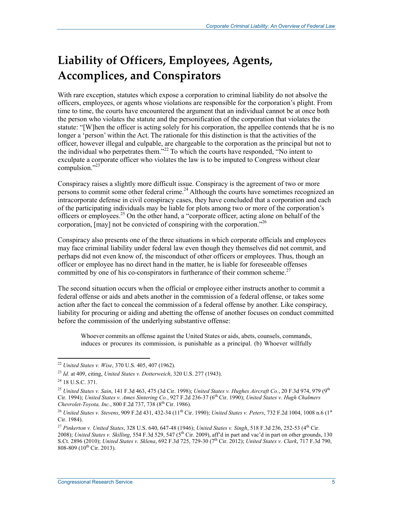## **Liability of Officers, Employees, Agents, Accomplices, and Conspirators**

With rare exception, statutes which expose a corporation to criminal liability do not absolve the officers, employees, or agents whose violations are responsible for the corporation's plight. From time to time, the courts have encountered the argument that an individual cannot be at once both the person who violates the statute and the personification of the corporation that violates the statute: "[W]hen the officer is acting solely for his corporation, the appellee contends that he is no longer a 'person' within the Act. The rationale for this distinction is that the activities of the officer, however illegal and culpable, are chargeable to the corporation as the principal but not to the individual who perpetrates them."<sup>22</sup> To which the courts have responded, "No intent to exculpate a corporate officer who violates the law is to be imputed to Congress without clear compulsion."23

Conspiracy raises a slightly more difficult issue. Conspiracy is the agreement of two or more persons to commit some other federal crime.<sup>24</sup> Although the courts have sometimes recognized an intracorporate defense in civil conspiracy cases, they have concluded that a corporation and each of the participating individuals may be liable for plots among two or more of the corporation's officers or employees.25 On the other hand, a "corporate officer, acting alone on behalf of the corporation, [may] not be convicted of conspiring with the corporation."<sup>26</sup>

Conspiracy also presents one of the three situations in which corporate officials and employees may face criminal liability under federal law even though they themselves did not commit, and perhaps did not even know of, the misconduct of other officers or employees. Thus, though an officer or employee has no direct hand in the matter, he is liable for foreseeable offenses committed by one of his co-conspirators in furtherance of their common scheme.<sup>27</sup>

The second situation occurs when the official or employee either instructs another to commit a federal offense or aids and abets another in the commission of a federal offense, or takes some action after the fact to conceal the commission of a federal offense by another. Like conspiracy, liability for procuring or aiding and abetting the offense of another focuses on conduct committed before the commission of the underlying substantive offense:

Whoever commits an offense against the United States or aids, abets, counsels, commands, induces or procures its commission, is punishable as a principal. (b) Whoever willfully

<sup>22</sup> *United States v. Wise*, 370 U.S. 405, 407 (1962).

<sup>23</sup> *Id.* at 409, citing, *United States v. Dotterweich*, 320 U.S. 277 (1943).

<sup>24 18</sup> U.S.C. 371.

<sup>25</sup> *United States v. Sain*, 141 F.3d 463, 475 (3d Cir. 1998); *United States v. Hughes Aircraft Co.*, 20 F.3d 974, 979 (9th Cir. 1994); *United States v. Ames Sintering Co.*, 927 F.2d 236-37 (6th Cir. 1990); *United States v. Hugh Chalmers Chevrolet-Toyota, Inc.*, 800 F.2d 737, 738 (8th Cir. 1986).

<sup>&</sup>lt;sup>26</sup> *United States v. Stevens*, 909 F.2d 431, 432-34 (11<sup>th</sup> Cir. 1990); *United States v. Peters*, 732 F.2d 1004, 1008 n.6 (1<sup>st</sup> Cir. 1984).

<sup>27</sup> *Pinkerton v. United States*, 328 U.S. 640, 647-48 (1946); *United States v. Singh*, 518 F.3d 236, 252-53 (4th Cir. 2008); *United States v. Skilling*, 554 F.3d 529, 547 ( $5^{th}$  Cir. 2009), aff'd in part and vac'd in part on other grounds, 130 S.Ct. 2896 (2010); *United States v. Sklena*, 692 F.3d 725, 729-30 (7th Cir. 2012); *United States v. Clark*, 717 F.3d 790, 808-809 ( $10^{th}$  Cir. 2013).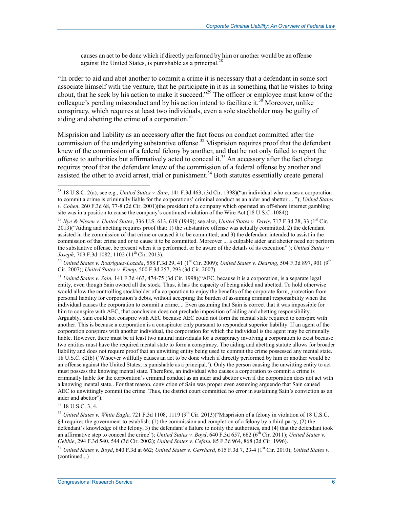causes an act to be done which if directly performed by him or another would be an offense against the United States, is punishable as a principal. $^{28}$ 

"In order to aid and abet another to commit a crime it is necessary that a defendant in some sort associate himself with the venture, that he participate in it as in something that he wishes to bring about, that he seek by his action to make it succeed."<sup>29</sup> The officer or employee must know of the colleague's pending misconduct and by his action intend to facilitate it.<sup>30</sup> Moreover, unlike conspiracy, which requires at least two individuals, even a sole stockholder may be guilty of aiding and abetting the crime of a corporation. $31$ 

Misprision and liability as an accessory after the fact focus on conduct committed after the commission of the underlying substantive offense.<sup>32</sup> Misprision requires proof that the defendant knew of the commission of a federal felony by another, and that he not only failed to report the offense to authorities but affirmatively acted to conceal it.<sup>33</sup> An accessory after the fact charge requires proof that the defendant knew of the commission of a federal offense by another and assisted the other to avoid arrest, trial or punishment.<sup>34</sup> Both statutes essentially create general

<sup>30</sup> *United States v. Rodriguez-Lozada*, 558 F.3d 29, 41 (1st Cir. 2009); *United States v. Dearing*, 504 F.3d 897, 901 (9<sup>th</sup> Cir. 2007); *United States v. Kemp*, 500 F.3d 257, 293 (3d Cir. 2007).

<sup>31</sup> *United States v. Sain*, 141 F.3d 463, 474-75 (3d Cir. 1998)("AEC, because it is a corporation, is a separate legal entity, even though Sain owned all the stock. Thus, it has the capacity of being aided and abetted. To hold otherwise would allow the controlling stockholder of a corporation to enjoy the benefits of the corporate form, protection from personal liability for corporation's debts, without accepting the burden of assuming criminal responsibility when the individual causes the corporation to commit a crime.... Even assuming that Sain is correct that it was impossible for him to conspire with AEC, that conclusion does not preclude imposition of aiding and abetting responsibility. Arguably, Sain could not conspire with AEC because AEC could not form the mental state required to conspire with another. This is because a corporation is a conspirator only pursuant to respondeat superior liability. If an agent of the corporation conspires with another individual, the corporation for which the individual is the agent may be criminally liable. However, there must be at least two natural individuals for a conspiracy involving a corporation to exist because two entities must have the required mental state to form a conspiracy. The aiding and abetting statute allows for broader liability and does not require proof that an unwitting entity being used to commit the crime possessed any mental state. 18 U.S.C. §2(b) ('Whoever willfully causes an act to be done which if directly performed by him or another would be an offense against the United States, is punishable as a principal.'). Only the person causing the unwitting entity to act must possess the knowing mental state. Therefore, an individual who causes a corporation to commit a crime is criminally liable for the corporation's criminal conduct as an aider and abettor even if the corporation does not act with a knowing mental state.. For that reason, conviction of Sain was proper even assuming arguendo that Sain caused AEC to unwittingly commit the crime. Thus, the district court committed no error in sustaining Sain's conviction as an aider and abettor").

 $32$  18 U.S.C. 3, 4.

<u>.</u>

<sup>33</sup> United States v. White Eagle, 721 F.3d 1108, 1119 (9<sup>th</sup> Cir. 2013)("Misprision of a felony in violation of 18 U.S.C. §4 requires the government to establish: (1) the commission and completion of a felony by a third party, (2) the defendant's knowledge of the felony, 3) the defendant's failure to notify the authorities, and (4) that the defendant took an affirmative step to conceal the crime"); *United States v. Boyd*, 640 F.3d 657, 662 (6<sup>th</sup> Cir. 2011); *United States v. Gebbie*, 294 F.3d 540, 544 (3d Cir. 2002); *United States v. Cefalu*, 85 F.3d 964, 868 (2d Cir. 1996).

<sup>34</sup> *United States v. Boyd, 640 F.3d at 662; <i>United States v. Gerrhard, 615 F.3d 7, 23-4 (1<sup>st</sup> Cir. 2010); <i>United States v.* (continued...)

<sup>28 18</sup> U.S.C. 2(a); see e.g., *United States v. Sain*, 141 F.3d 463, (3d Cir. 1998)("an individual who causes a corporation to commit a crime is criminally liable for the corporations' criminal conduct as an aider and abettor ... "); *United States v. Cohen*, 260 F.3d 68, 77-8 (2d Cir. 2001)(the president of a company which operated an off-shore internet gambling site was in a position to cause the company's continued violation of the Wire Act (18 U.S.C. 1084)).

<sup>&</sup>lt;sup>29</sup> *Nye & Nissen v. United States*, 336 U.S. 613, 619 (1949); see also, *United States v. Davis*, 717 F.3d 28, 33 (1<sup>st</sup> Cir. 2013)("Aiding and abetting requires proof that: 1) the substantive offense was actually committed; 2) the defendant assisted in the commission of that crime or caused it to be committed; and 3) the defendant intended to assist in the commission of that crime and or to cause it to be committed. Moreover ... a culpable aider and abetter need not perform the substantive offense, be present when it is performed, or be aware of the details of its execution" ); *United States v. Joseph*, 709 F.3d 1082, 1102 (11<sup>th</sup> Cir. 2013).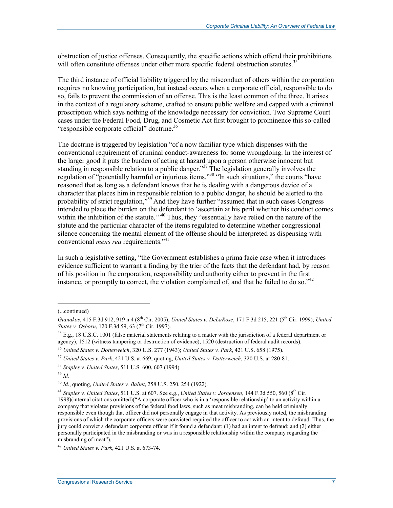obstruction of justice offenses. Consequently, the specific actions which offend their prohibitions will often constitute offenses under other more specific federal obstruction statutes.<sup>35</sup>

The third instance of official liability triggered by the misconduct of others within the corporation requires no knowing participation, but instead occurs when a corporate official, responsible to do so, fails to prevent the commission of an offense. This is the least common of the three. It arises in the context of a regulatory scheme, crafted to ensure public welfare and capped with a criminal proscription which says nothing of the knowledge necessary for conviction. Two Supreme Court cases under the Federal Food, Drug, and Cosmetic Act first brought to prominence this so-called "responsible corporate official" doctrine.36

The doctrine is triggered by legislation "of a now familiar type which dispenses with the conventional requirement of criminal conduct-awareness for some wrongdoing. In the interest of the larger good it puts the burden of acting at hazard upon a person otherwise innocent but standing in responsible relation to a public danger."<sup>37</sup> The legislation generally involves the regulation of "potentially harmful or injurious items."<sup>38</sup> "In such situations," the courts "have reasoned that as long as a defendant knows that he is dealing with a dangerous device of a character that places him in responsible relation to a public danger, he should be alerted to the probability of strict regulation,<sup>339</sup> And they have further "assumed that in such cases Congress intended to place the burden on the defendant to 'ascertain at his peril whether his conduct comes within the inhibition of the statute.'"<sup>40</sup> Thus, they "essentially have relied on the nature of the statute and the particular character of the items regulated to determine whether congressional silence concerning the mental element of the offense should be interpreted as dispensing with conventional *mens rea* requirements."<sup>41</sup>

In such a legislative setting, "the Government establishes a prima facie case when it introduces evidence sufficient to warrant a finding by the trier of the facts that the defendant had, by reason of his position in the corporation, responsibility and authority either to prevent in the first instance, or promptly to correct, the violation complained of, and that he failed to do so."42

 $\overline{a}$ 

<sup>(...</sup>continued)

*Gianakos*, 415 F.3d 912, 919 n.4 (8th Cir. 2005); *United States v. DeLaRose*, 171 F.3d 215, 221 (5th Cir. 1999); *United States v. Osborn*, 120 F.3d 59, 63 (7<sup>th</sup> Cir. 1997).

 $35$  E.g., 18 U.S.C. 1001 (false material statements relating to a matter with the jurisdiction of a federal department or agency), 1512 (witness tampering or destruction of evidence), 1520 (destruction of federal audit records).

<sup>36</sup> *United States v. Dotterweich*, 320 U.S. 277 (1943); *United States v. Park*, 421 U.S. 658 (1975).

<sup>37</sup> *United States v. Park*, 421 U.S. at 669, quoting, *United States v. Dotterweich*, 320 U.S. at 280-81.

<sup>38</sup> *Staples v. United States*, 511 U.S. 600, 607 (1994).

<sup>39</sup> *Id.*

<sup>40</sup> *Id*., quoting, *United States v. Balint*, 258 U.S. 250, 254 (1922).

<sup>41</sup> *Staples v. United States*, 511 U.S. at 607. See e.g., *United States v. Jorgensen*, 144 F.3d 550, 560 (8th Cir. 1998)(internal citations omitted)("A corporate officer who is in a 'responsible relationship' to an activity within a company that violates provisions of the federal food laws, such as meat misbranding, can be held criminally responsible even though that officer did not personally engage in that activity. As previously noted, the misbranding provisions of which the corporate officers were convicted required the officer to act with an intent to defraud. Thus, the jury could convict a defendant corporate officer if it found a defendant: (1) had an intent to defraud; and (2) either personally participated in the misbranding or was in a responsible relationship within the company regarding the misbranding of meat").

<sup>42</sup> *United States v. Park*, 421 U.S. at 673-74.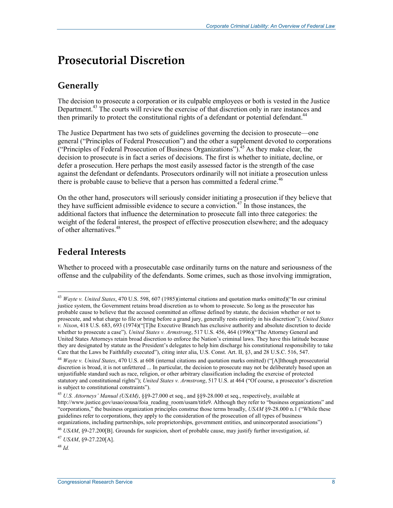## **Prosecutorial Discretion**

## **Generally**

The decision to prosecute a corporation or its culpable employees or both is vested in the Justice Department.<sup>43</sup> The courts will review the exercise of that discretion only in rare instances and then primarily to protect the constitutional rights of a defendant or potential defendant.<sup>44</sup>

The Justice Department has two sets of guidelines governing the decision to prosecute—one general ("Principles of Federal Prosecution") and the other a supplement devoted to corporations ("Principles of Federal Prosecution of Business Organizations").<sup>45</sup> As they make clear, the decision to prosecute is in fact a series of decisions. The first is whether to initiate, decline, or defer a prosecution. Here perhaps the most easily assessed factor is the strength of the case against the defendant or defendants. Prosecutors ordinarily will not initiate a prosecution unless there is probable cause to believe that a person has committed a federal crime.<sup>46</sup>

On the other hand, prosecutors will seriously consider initiating a prosecution if they believe that they have sufficient admissible evidence to secure a conviction.<sup>47</sup> In those instances, the additional factors that influence the determination to prosecute fall into three categories: the weight of the federal interest, the prospect of effective prosecution elsewhere; and the adequacy of other alternatives.<sup>48</sup>

### **Federal Interests**

1

Whether to proceed with a prosecutable case ordinarily turns on the nature and seriousness of the offense and the culpability of the defendants. Some crimes, such as those involving immigration,

<sup>43</sup> *Wayte v. United States*, 470 U.S. 598, 607 (1985)(internal citations and quotation marks omitted)("In our criminal justice system, the Government retains broad discretion as to whom to prosecute. So long as the prosecutor has probable cause to believe that the accused committed an offense defined by statute, the decision whether or not to prosecute, and what charge to file or bring before a grand jury, generally rests entirely in his discretion"); *United States v. Nixon*, 418 U.S. 683, 693 (1974)("[T]he Executive Branch has exclusive authority and absolute discretion to decide whether to prosecute a case"). *United States v. Armstrong*, 517 U.S. 456, 464 (1996)("The Attorney General and United States Attorneys retain broad discretion to enforce the Nation's criminal laws. They have this latitude because they are designated by statute as the President's delegates to help him discharge his constitutional responsibility to take Care that the Laws be Faithfully executed"), citing inter alia, U.S. Const. Art. II, §3, and 28 U.S.C. 516, 547.

<sup>44</sup> *Wayte v. United States*, 470 U.S. at 608 (internal citations and quotation marks omitted) ("[A]lthough prosecutorial discretion is broad, it is not unfettered ... In particular, the decision to prosecute may not be deliberately based upon an unjustifiable standard such as race, religion, or other arbitrary classification including the exercise of protected statutory and constitutional rights"); *United States v. Armstrong*, 517 U.S. at 464 ("Of course, a prosecutor's discretion is subject to constitutional constraints").

<sup>45</sup> *U.S. Attorneys' Manual (USAM)*, §§9-27.000 et seq., and §§9-28.000 et seq., respectively, available at http://www.justice.gov/usao/eousa/foia\_reading\_room/usam/title9. Although they refer to "business organizations" and "corporations," the business organization principles construe those terms broadly, *USAM* §9-28.000 n.1 ("While these guidelines refer to corporations, they apply to the consideration of the prosecution of all types of business organizations, including partnerships, sole proprietorships, government entities, and unincorporated associations")

<sup>46</sup> *USAM*, §9-27.200[B]. Grounds for suspicion, short of probable cause, may justify further investigation, *id*. <sup>47</sup> *USAM*, §9-27.220[A].

<sup>48</sup> *Id.*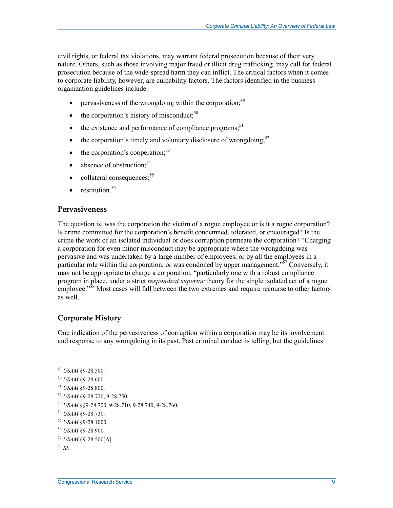civil rights, or federal tax violations, may warrant federal prosecution because of their very nature. Others, such as those involving major fraud or illicit drug trafficking, may call for federal prosecution because of the wide-spread harm they can inflict. The critical factors when it comes to corporate liability, however, are culpability factors. The factors identified in the business organization guidelines include

- pervasiveness of the wrongdoing within the corporation;<sup>49</sup>
- $\bullet$  the corporation's history of misconduct:<sup>50</sup>
- $\bullet$  the existence and performance of compliance programs;<sup>51</sup>
- the corporation's timely and voluntary disclosure of wrongdoing; $52$
- $\bullet$  the corporation's cooperation:<sup>53</sup>
- $\bullet$  absence of obstruction;<sup>54</sup>
- $\bullet$  collateral consequences;  $55$
- restitution  $56$

#### **Pervasiveness**

The question is, was the corporation the victim of a rogue employee or is it a rogue corporation? Is crime committed for the corporation's benefit condemned, tolerated, or encouraged? Is the crime the work of an isolated individual or does corruption permeate the corporation? "Charging a corporation for even minor misconduct may be appropriate where the wrongdoing was pervasive and was undertaken by a large number of employees, or by all the employees in a particular role within the corporation, or was condoned by upper management." $57$  Conversely, it may not be appropriate to charge a corporation, "particularly one with a robust compliance program in place, under a strict *respondeat superior* theory for the single isolated act of a rogue employee."<sup>58</sup> Most cases will fall between the two extremes and require recourse to other factors as well.

#### **Corporate History**

One indication of the pervasiveness of corruption within a corporation may be its involvement and response to any wrongdoing in its past. Past criminal conduct is telling, but the guidelines

<sup>52</sup> *USAM* §9-28.720, 9-28.750.

<sup>56</sup> *USAM* §9-28.900.

<sup>49</sup> *USAM* §9-28.500.

<sup>50</sup> *USAM* §9-28.600.

<sup>51</sup> *USAM* §9-28.800.

<sup>53</sup> *USAM* §§9-28.700, 9-28.710, 9-28.740, 9-28.760.

<sup>54</sup> *USAM* §9-28.730.

<sup>55</sup> *USAM* §9-28.1000.

<sup>57</sup> *USAM* §9-28.500[A].

<sup>58</sup> *Id.*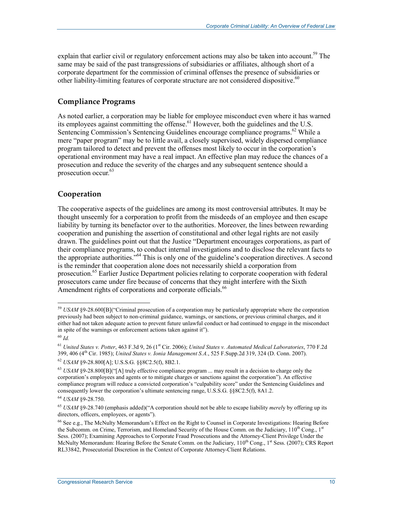explain that earlier civil or regulatory enforcement actions may also be taken into account.<sup>59</sup> The same may be said of the past transgressions of subsidiaries or affiliates, although short of a corporate department for the commission of criminal offenses the presence of subsidiaries or other liability-limiting features of corporate structure are not considered dispositive.<sup>60</sup>

#### **Compliance Programs**

As noted earlier, a corporation may be liable for employee misconduct even where it has warned its employees against committing the offense.<sup>61</sup> However, both the guidelines and the U.S. Sentencing Commission's Sentencing Guidelines encourage compliance programs.<sup>62</sup> While a mere "paper program" may be to little avail, a closely supervised, widely dispersed compliance program tailored to detect and prevent the offenses most likely to occur in the corporation's operational environment may have a real impact. An effective plan may reduce the chances of a prosecution and reduce the severity of the charges and any subsequent sentence should a prosecution occur.<sup>63</sup>

#### **Cooperation**

The cooperative aspects of the guidelines are among its most controversial attributes. It may be thought unseemly for a corporation to profit from the misdeeds of an employee and then escape liability by turning its benefactor over to the authorities. Moreover, the lines between rewarding cooperation and punishing the assertion of constitutional and other legal rights are not easily drawn. The guidelines point out that the Justice "Department encourages corporations, as part of their compliance programs, to conduct internal investigations and to disclose the relevant facts to the appropriate authorities."64 This is only one of the guideline's cooperation directives. A second is the reminder that cooperation alone does not necessarily shield a corporation from prosecution.<sup>65</sup> Earlier Justice Department policies relating to corporate cooperation with federal prosecutors came under fire because of concerns that they might interfere with the Sixth Amendment rights of corporations and corporate officials.<sup>66</sup>

<u>.</u>

<sup>59</sup> *USAM* §9-28.600[B]("Criminal prosecution of a corporation may be particularly appropriate where the corporation previously had been subject to non-criminal guidance, warnings, or sanctions, or previous criminal charges, and it either had not taken adequate action to prevent future unlawful conduct or had continued to engage in the misconduct in spite of the warnings or enforcement actions taken against it").

<sup>60</sup> *Id.* 

<sup>61</sup> *United States v. Potter*, 463 F.3d 9, 26 (1st Cir. 2006); *United States v. Automated Medical Laboratories*, 770 F.2d 399, 406 (4th Cir. 1985); *United States v. Ionia Management S.A.*, 525 F.Supp.2d 319, 324 (D. Conn. 2007).

<sup>62</sup> *USAM* §9-28.800[A]; U.S.S.G. §§8C2.5(f), 8B2.1.

<sup>63</sup> *USAM* §9-28.800[B]("[A] truly effective compliance program ... may result in a decision to charge only the corporation's employees and agents or to mitigate charges or sanctions against the corporation"). An effective compliance program will reduce a convicted corporation's "culpability score" under the Sentencing Guidelines and consequently lower the corporation's ultimate sentencing range, U.S.S.G. §§8C2.5(f), 8A1.2.

<sup>64</sup> *USAM* §9-28.750.

<sup>65</sup> *USAM* §9-28.740 (emphasis added)("A corporation should not be able to escape liability *merel*y by offering up its directors, officers, employees, or agents").

 $66$  See e.g., The McNulty Memorandum's Effect on the Right to Counsel in Corporate Investigations: Hearing Before the Subcomm. on Crime, Terrorism, and Homeland Security of the House Comm. on the Judiciary,  $110^{th}$  Cong.,  $1^{st}$ Sess. (2007); Examining Approaches to Corporate Fraud Prosecutions and the Attorney-Client Privilege Under the McNulty Memorandum: Hearing Before the Senate Comm. on the Judiciary, 110<sup>th</sup> Cong., 1<sup>st</sup> Sess. (2007); CRS Report RL33842, Prosecutorial Discretion in the Context of Corporate Attorney-Client Relations.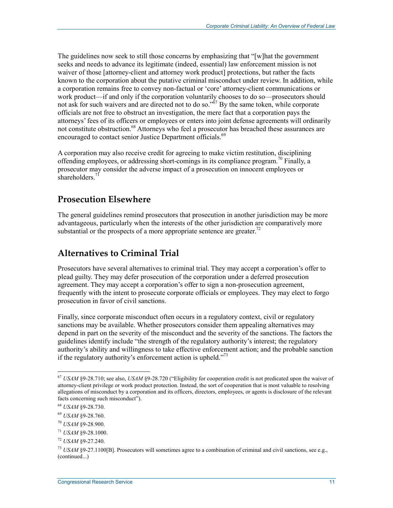The guidelines now seek to still those concerns by emphasizing that "[w]hat the government seeks and needs to advance its legitimate (indeed, essential) law enforcement mission is not waiver of those [attorney-client and attorney work product] protections, but rather the facts known to the corporation about the putative criminal misconduct under review. In addition, while a corporation remains free to convey non-factual or 'core' attorney-client communications or work product—if and only if the corporation voluntarily chooses to do so—prosecutors should not ask for such waivers and are directed not to do so." $\frac{67}{10}$  By the same token, while corporate officials are not free to obstruct an investigation, the mere fact that a corporation pays the attorneys' fees of its officers or employees or enters into joint defense agreements will ordinarily not constitute obstruction.<sup>68</sup> Attorneys who feel a prosecutor has breached these assurances are encouraged to contact senior Justice Department officials.<sup>69</sup>

A corporation may also receive credit for agreeing to make victim restitution, disciplining offending employees, or addressing short-comings in its compliance program.<sup>70</sup> Finally, a prosecutor may consider the adverse impact of a prosecution on innocent employees or shareholders<sup>71</sup>

### **Prosecution Elsewhere**

The general guidelines remind prosecutors that prosecution in another jurisdiction may be more advantageous, particularly when the interests of the other jurisdiction are comparatively more substantial or the prospects of a more appropriate sentence are greater.<sup>72</sup>

### **Alternatives to Criminal Trial**

Prosecutors have several alternatives to criminal trial. They may accept a corporation's offer to plead guilty. They may defer prosecution of the corporation under a deferred prosecution agreement. They may accept a corporation's offer to sign a non-prosecution agreement, frequently with the intent to prosecute corporate officials or employees. They may elect to forgo prosecution in favor of civil sanctions.

Finally, since corporate misconduct often occurs in a regulatory context, civil or regulatory sanctions may be available. Whether prosecutors consider them appealing alternatives may depend in part on the severity of the misconduct and the severity of the sanctions. The factors the guidelines identify include "the strength of the regulatory authority's interest; the regulatory authority's ability and willingness to take effective enforcement action; and the probable sanction if the regulatory authority's enforcement action is upheld. $173$ 

<sup>67</sup> *USAM* §9-28.710; see also, *USAM* §9-28.720 ("Eligibility for cooperation credit is not predicated upon the waiver of attorney-client privilege or work product protection. Instead, the sort of cooperation that is most valuable to resolving allegations of misconduct by a corporation and its officers, directors, employees, or agents is disclosure of the relevant facts concerning such misconduct").

<sup>68</sup> *USAM* §9-28.730.

<sup>69</sup> *USAM* §9-28.760.

<sup>70</sup> *USAM* §9-28.900.

<sup>71</sup> *USAM* §9-28.1000.

<sup>72</sup> *USAM* §9-27.240.

<sup>73</sup> *USAM* §9-27.1100[B]. Prosecutors will sometimes agree to a combination of criminal and civil sanctions, see e.g., (continued...)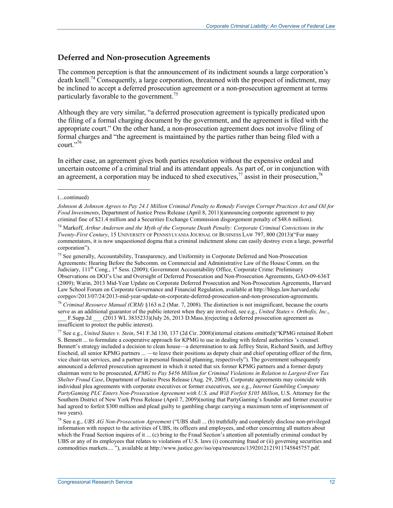#### **Deferred and Non-prosecution Agreements**

The common perception is that the announcement of its indictment sounds a large corporation's death knell.<sup>74</sup> Consequently, a large corporation, threatened with the prospect of indictment, may be inclined to accept a deferred prosecution agreement or a non-prosecution agreement at terms particularly favorable to the government.<sup>75</sup>

Although they are very similar, "a deferred prosecution agreement is typically predicated upon the filing of a formal charging document by the government, and the agreement is filed with the appropriate court." On the other hand, a non-prosecution agreement does not involve filing of formal charges and "the agreement is maintained by the parties rather than being filed with a court."76

In either case, an agreement gives both parties resolution without the expensive ordeal and uncertain outcome of a criminal trial and its attendant appeals. As part of, or in conjunction with an agreement, a corporation may be induced to shed executives,  $\frac{7}{7}$  assist in their prosecution,  $\frac{7}{8}$ 

1

<sup>75</sup> See generally, Accountability, Transparency, and Uniformity in Corporate Deferred and Non-Prosecution Agreements: Hearing Before the Subcomm. on Commercial and Administrative Law of the House Comm. on the Judiciary,  $11^{th}$  Cong.,  $1^{st}$  Sess. (2009); Government Accountability Office, Corporate Crime: Preliminary Observations on DOJ's Use and Oversight of Deferred Prosecution and Non-Prosecution Agreements, GAO-09-636T (2009); Warin, 2013 Mid-Year Update on Corporate Deferred Prosecution and Non-Prosecution Agreements, Harvard Law School Forum on Corporate Governance and Financial Regulation, available at http://blogs.law.harvard.edu/ corpgov/2013/07/24/2013-mid-year-update-on-corporate-deferred-prosecution-and-non-prosecution-agreements.

<sup>76</sup> *Criminal Resource Manual (CRM)* §163 n.2 (Mar. 7, 2008). The distinction is not insignificant, because the courts serve as an additional guarantor of the public interest when they are involved, see e.g., *United States v. Orthofix, Inc*., F.Supp.2d  $(2013 \text{ WL } 3835233)(\text{July } 26, 2013 \text{ D.}$ Mass.)(rejecting a deferred prosecution agreement as

insufficient to protect the public interest).

78 See e.g., *UBS AG Non-Prosecution Agreement* ("UBS shall ... (b) truthfully and completely disclose non-privileged information with respect to the activities of UBS, its officers and employees, and other concerning all matters about which the Fraud Section inquires of it ... (c) bring to the Fraud Section's attention all potentially criminal conduct by UBS or any of its employees that relates to violations of U.S. laws (i) concerning fraud or (ii) governing securities and commodities markets.... "), available at http://www.justice.gov/iso/opa/resources/1392012121911745845757.pdf.

<sup>(...</sup>continued)

*Johnson & Johnson Agrees to Pay 24.1 Million Criminal Penalty to Remedy Foreign Corrupt Practices Act and Oil for Food Investments*, Department of Justice Press Release (April 8, 2011)(announcing corporate agreement to pay criminal fine of \$21.4 million and a Securities Exchange Commission disgorgement penalty of \$48.6 million).

<sup>74</sup> Markoff, *Arthur Andersen and the Myth of the Corporate Death Penalty: Corporate Criminal Convictions in the Twenty-First Century*, 15 UNIVERSITY OF PENNSYLVANIA JOURNAL OF BUSINESS LAW 797, 800 (2013)("For many commentators, it is now unquestioned dogma that a criminal indictment alone can easily destroy even a large, powerful corporation").

<sup>77</sup> See e.g., *United States v. Stein*, 541 F.3d 130, 137 (2d Cir. 2008)(internal citations omitted)("KPMG retained Robert S. Bennett ... to formulate a cooperative approach for KPMG to use in dealing with federal authorities 's counsel. Bennett's strategy included a decision to clean house—a determination to ask Jeffrey Stein, Richard Smith, and Jeffrey Eischeid, all senior KPMG partners ... —to leave their positions as deputy chair and chief operating officer of the firm, vice chair-tax services, and a partner in personal financial planning, respectively"). The government subsequently announced a deferred prosecution agreement in which it noted that six former KPMG partners and a former deputy chairman were to be prosecuted, *KPMG to Pay \$456 Million for Criminal Violations in Relation to Largest-Ever Tax Shelter Fraud Case*, Department of Justice Press Release (Aug. 29, 2005). Corporate agreements may coincide with individual plea agreements with corporate executives or former executives, see e.g., *Internet Gambling Company PartyGaming PLC Enters Non-Prosecution Agreement with U.S. and Will Forfeit \$105 Million*, U.S. Attorney for the Southern District of New York Press Release (April 7, 2009)(noting that PartyGaming's founder and former executive had agreed to forfeit \$300 million and plead guilty to gambling charge carrying a maximum term of imprisonment of two years).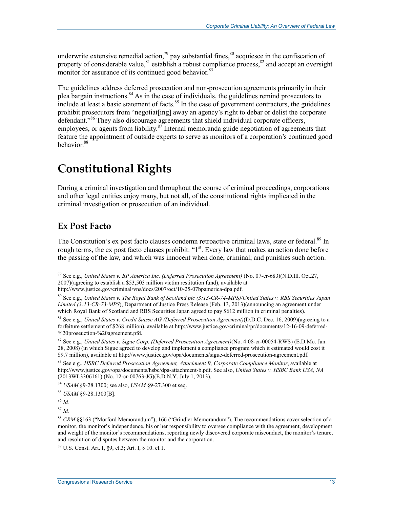underwrite extensive remedial action,<sup>79</sup> pay substantial fines, $80$  acquiesce in the confiscation of property of considerable value,<sup>81</sup> establish a robust compliance process,<sup>82</sup> and accept an oversight monitor for assurance of its continued good behavior.<sup>83</sup>

The guidelines address deferred prosecution and non-prosecution agreements primarily in their plea bargain instructions.<sup>84</sup> As in the case of individuals, the guidelines remind prosecutors to include at least a basic statement of facts. $85$  In the case of government contractors, the guidelines prohibit prosecutors from "negotiat[ing] away an agency's right to debar or delist the corporate defendant."<sup>86</sup> They also discourage agreements that shield individual corporate officers, employees, or agents from liability.<sup>87</sup> Internal memoranda guide negotiation of agreements that feature the appointment of outside experts to serve as monitors of a corporation's continued good behavior.<sup>88</sup>

## **Constitutional Rights**

During a criminal investigation and throughout the course of criminal proceedings, corporations and other legal entities enjoy many, but not all, of the constitutional rights implicated in the criminal investigation or prosecution of an individual.

### **Ex Post Facto**

The Constitution's ex post facto clauses condemn retroactive criminal laws, state or federal.<sup>89</sup> In rough terms, the ex post facto clauses prohibit: "1<sup>st</sup>. Every law that makes an action done before the passing of the law, and which was innocent when done, criminal; and punishes such action.

<sup>87</sup> *Id.* 

1

89 U.S. Const. Art. I, §9, cl.3; Art. I, § 10. cl.1.

<sup>79</sup> See e.g., *United States v. BP America Inc. (Deferred Prosecution Agreement)* (No. 07-cr-683)(N.D.Ill. Oct.27, 2007)(agreeing to establish a \$53,503 million victim restitution fund), available at http://www.justice.gov/criminal/vns/docs/2007/oct/10-25-07bpamerica-dpa.pdf.

<sup>80</sup> See e.g., *United States v. The Royal Bank of Scotland plc (3:13-CR-74-MPS)/United States v. RBS Securities Japan Limited (3:13-CR-73-MPS*), Department of Justice Press Release (Feb. 13, 2013)(announcing an agreement under which Royal Bank of Scotland and RBS Securities Japan agreed to pay \$612 million in criminal penalties).

<sup>81</sup> See e.g., *United States v. Credit Suisse AG (Deferred Prosecution Agreement)*(D.D.C. Dec. 16, 2009)(agreeing to a forfeiture settlement of \$268 million), available at http://www.justice.gov/criminal/pr/documents/12-16-09-deferred- %20proseuction-%20agreement.pfd.

<sup>82</sup> See e.g., *United States v. Sigue Corp. (Deferred Prosecution Agreement)*(No. 4:08-cr-00054-RWS) (E.D.Mo. Jan. 28, 2008) (in which Sigue agreed to develop and implement a compliance program which it estimated would cost it \$9.7 million), available at http://www.justice.gov/opa/documents/sigue-deferred-prosecution-agreement.pdf.

<sup>83</sup> See e.g., *HSBC Deferred Prosecution Agreement, Attachment B, Corporate Compliance Monitor*, available at http://www.justice.gov/opa/documents/hsbc/dpa-attachment-b.pdf. See also, *United States v. HSBC Bank USA, NA*   $(2013WL3306161)$  (No. 12-cr-00763-JG)(E.D.N.Y. July 1, 2013).

<sup>84</sup> *USAM* §9-28.1300; see also, *USAM* §9-27.300 et seq.

<sup>85</sup> *USAM* §9-28.1300[B].

<sup>86</sup> *Id.* 

<sup>88</sup> *CRM* §§163 ("Morford Memorandum"), 166 ("Grindler Memorandum"). The recommendations cover selection of a monitor, the monitor's independence, his or her responsibility to oversee compliance with the agreement, development and weight of the monitor's recommendations, reporting newly discovered corporate misconduct, the monitor's tenure, and resolution of disputes between the monitor and the corporation.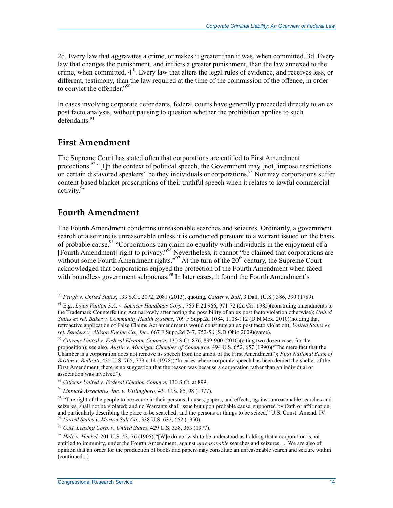2d. Every law that aggravates a crime, or makes it greater than it was, when committed. 3d. Every law that changes the punishment, and inflicts a greater punishment, than the law annexed to the crime, when committed.  $4<sup>th</sup>$ . Every law that alters the legal rules of evidence, and receives less, or different, testimony, than the law required at the time of the commission of the offence, in order to convict the offender."<sup>90</sup>

In cases involving corporate defendants, federal courts have generally proceeded directly to an ex post facto analysis, without pausing to question whether the prohibition applies to such  $\det$ defendants<sup>91</sup>

### **First Amendment**

The Supreme Court has stated often that corporations are entitled to First Amendment protections.<sup>92</sup> "[I]n the context of political speech, the Government may  $[not]$  impose restrictions on certain disfavored speakers" be they individuals or corporations.<sup>93</sup> Nor may corporations suffer content-based blanket proscriptions of their truthful speech when it relates to lawful commercial activity.<sup>94</sup>

### **Fourth Amendment**

1

The Fourth Amendment condemns unreasonable searches and seizures. Ordinarily, a government search or a seizure is unreasonable unless it is conducted pursuant to a warrant issued on the basis of probable cause.<sup>95</sup> "Corporations can claim no equality with individuals in the enjoyment of a [Fourth Amendment] right to privacy."96 Nevertheless, it cannot "be claimed that corporations are without some Fourth Amendment rights."<sup>97</sup> At the turn of the  $20<sup>th</sup>$  century, the Supreme Court acknowledged that corporations enjoyed the protection of the Fourth Amendment when faced with boundless government subpoenas.<sup>98</sup> In later cases, it found the Fourth Amendment's

<sup>90</sup> *Peugh v. United States*, 133 S.Ct. 2072, 2081 (2013), quoting, *Calder v. Bull*, 3 Dall. (U.S.) 386, 390 (1789).

<sup>91</sup> E.g., *Louis Vuitton S.A. v. Spencer Handbags Corp*., 765 F.2d 966, 971-72 (2d Cir. 1985)(construing amendments to the Trademark Counterfeiting Act narrowly after noting the possibility of an ex post facto violation otherwise); *United States ex rel. Baker v. Community Health Systems*, 709 F.Supp.2d 1084, 1108-112 (D.N.Mex. 2010)(holding that retroactive application of False Claims Act amendments would constitute an ex post facto violation); *United States ex rel. Sanders v. Allison Engine Co., Inc*., 667 F.Supp.2d 747, 752-58 (S.D.Ohio 2009)(same).

<sup>92</sup> *Citizens United v. Federal Election Comm'n*, 130 S.Ct. 876, 899-900 (2010)(citing two dozen cases for the proposition); see also, *Austin v. Michigan Chamber of Commerce*, 494 U.S. 652, 657 (1990)("The mere fact that the Chamber is a corporation does not remove its speech from the ambit of the First Amendment"); *First National Bank of Boston v. Belliotti*, 435 U.S. 765, 779 n.14 (1978)("In cases where corporate speech has been denied the shelter of the First Amendment, there is no suggestion that the reason was because a corporation rather than an individual or association was involved").

<sup>93</sup> *Citizens United v. Federal Election Comm'n*, 130 S.Ct. at 899.

<sup>94</sup> *Linmark Associates, Inc. v. Willingboro*, 431 U.S. 85, 98 (1977).

<sup>&</sup>lt;sup>95</sup> "The right of the people to be secure in their persons, houses, papers, and effects, against unreasonable searches and seizures, shall not be violated; and no Warrants shall issue but upon probable cause, supported by Oath or affirmation, and particularly describing the place to be searched, and the persons or things to be seized," U.S. Const. Amend. IV. <sup>96</sup> *United States v. Morton Salt Co.*, 338 U.S. 632, 652 (1950).

<sup>97</sup> *G.M. Leasing Corp. v. United States*, 429 U.S. 338, 353 (1977).

<sup>98</sup> *Hale v. Henkel,* 201 U.S. 43, 76 (1905)("[W]e do not wish to be understood as holding that a corporation is not entitled to immunity, under the Fourth Amendment, against *unreasonable* searches and seizures. ... We are also of opinion that an order for the production of books and papers may constitute an unreasonable search and seizure within (continued...)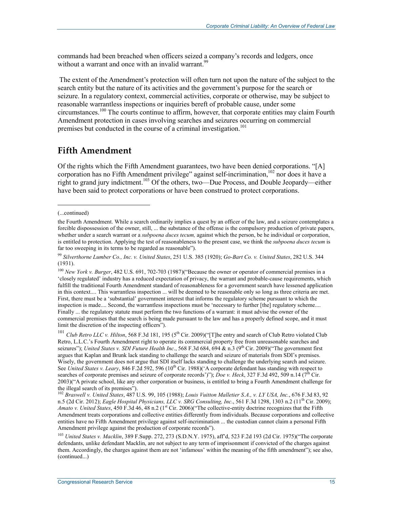commands had been breached when officers seized a company's records and ledgers, once without a warrant and once with an invalid warrant.<sup>99</sup>

 The extent of the Amendment's protection will often turn not upon the nature of the subject to the search entity but the nature of its activities and the government's purpose for the search or seizure. In a regulatory context, commercial activities, corporate or otherwise, may be subject to reasonable warrantless inspections or inquiries bereft of probable cause, under some circumstances.100 The courts continue to affirm, however, that corporate entities may claim Fourth Amendment protection in cases involving searches and seizures occurring on commercial premises but conducted in the course of a criminal investigation.<sup>101</sup>

#### **Fifth Amendment**

Of the rights which the Fifth Amendment guarantees, two have been denied corporations. "[A] corporation has no Fifth Amendment privilege" against self-incrimination, $102$  nor does it have a right to grand jury indictment.103 Of the others, two—Due Process, and Double Jeopardy—either have been said to protect corporations or have been construed to protect corporations.

1

<sup>100</sup> *New York v. Burger*, 482 U.S. 691, 702-703 (1987)("Because the owner or operator of commercial premises in a 'closely regulated' industry has a reduced expectation of privacy, the warrant and probable-cause requirements, which fulfill the traditional Fourth Amendment standard of reasonableness for a government search have lessened application in this context.... This warrantless inspection ... will be deemed to be reasonable only so long as three criteria are met. First, there must be a 'substantial' government interest that informs the regulatory scheme pursuant to which the inspection is made.... Second, the warrantless inspections must be 'necessary to further [the] regulatory scheme.... Finally ... the regulatory statute must perform the two functions of a warrant: it must advise the owner of the commercial premises that the search is being made pursuant to the law and has a properly defined scope, and it must limit the discretion of the inspecting officers").

<sup>101</sup> *Club Retro LLC v. Hilton*, 568 F.3d 181, 195 (5<sup>th</sup> Cir. 2009)("[T]he entry and search of Club Retro violated Club Retro, L.L.C.'s Fourth Amendment right to operate its commercial property free from unreasonable searches and seizures"); *United States v. SDI Future Health Inc.*, 568 F.3d 684, 694 & n.3 (9<sup>th</sup> Cir. 2009)("The government first argues that Kaplan and Brunk lack standing to challenge the search and seizure of materials from SDI's premises. Wisely, the government does not argue that SDI itself lacks standing to challenge the underlying search and seizure. See *United States v. Leary*, 846 F.2d 592, 596 (10<sup>th</sup> Cir. 1988)('A corporate defendant has standing with respect to searches of corporate premises and seizure of corporate records')"); *Doe v. Heck*, 327 F.3d 492, 509 n.14 ( $7^{\text{th}}$  Cir. 2003)("A private school, like any other corporation or business, is entitled to bring a Fourth Amendment challenge for the illegal search of its premises").

<sup>102</sup> *Braswell v. United States*, 487 U.S. 99, 105 (1988); *Louis Vuitton Malletier S.A., v. LY USA, Inc.*, 676 F.3d 83, 92 n.5 (2d Cir. 2012); *Eagle Hospital Physicians, LLC v. SRG Consulting, Inc.*, 561 F.3d 1298, 1303 n.2 (11<sup>th</sup> Cir. 2009); *Amato v. United States*, 450 F.3d 46, 48 n.2 (1<sup>st</sup> Cir. 2006)("The collective-entity doctrine recognizes that the Fifth Amendment treats corporations and collective entities differently from individuals. Because corporations and collective entities have no Fifth Amendment privilege against self-incrimination ... the custodian cannot claim a personal Fifth Amendment privilege against the production of corporate records").

<sup>103</sup> *United States v. Macklin*, 389 F.Supp. 272, 273 (S.D.N.Y. 1975), aff'd, 523 F.2d 193 (2d Cir. 1975)("The corporate defendants, unlike defendant Macklin, are not subject to any term of imprisonment if convicted of the charges against them. Accordingly, the charges against them are not 'infamous' within the meaning of the fifth amendment"); see also, (continued...)

<sup>(...</sup>continued)

the Fourth Amendment. While a search ordinarily implies a quest by an officer of the law, and a seizure contemplates a forcible dispossession of the owner, still, ... the substance of the offense is the compulsory production of private papers, whether under a search warrant or a *subpoena duces tecum,* against which the person, be he individual or corporation, is entitled to protection. Applying the test of reasonableness to the present case, we think the *subpoena duces tecum* is far too sweeping in its terms to be regarded as reasonable").

<sup>99</sup> *Silverthorne Lumber Co., Inc. v. United States*, 251 U.S. 385 (1920); *Go-Bart Co. v. United States*, 282 U.S. 344 (1931).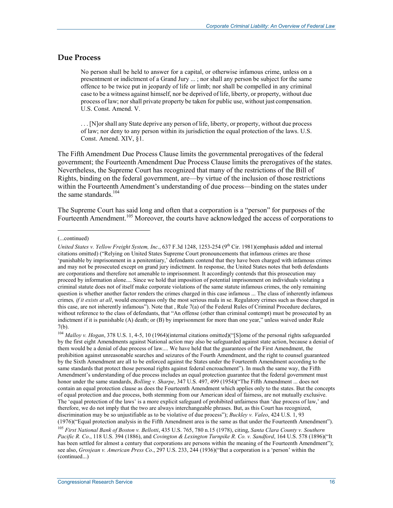#### **Due Process**

No person shall be held to answer for a capital, or otherwise infamous crime, unless on a presentment or indictment of a Grand Jury ... ; nor shall any person be subject for the same offence to be twice put in jeopardy of life or limb; nor shall be compelled in any criminal case to be a witness against himself, nor be deprived of life, liberty, or property, without due process of law; nor shall private property be taken for public use, without just compensation. U.S. Const. Amend. V.

. . . [N]or shall any State deprive any person of life, liberty, or property, without due process of law; nor deny to any person within its jurisdiction the equal protection of the laws. U.S. Const. Amend. XIV, §1.

The Fifth Amendment Due Process Clause limits the governmental prerogatives of the federal government; the Fourteenth Amendment Due Process Clause limits the prerogatives of the states. Nevertheless, the Supreme Court has recognized that many of the restrictions of the Bill of Rights, binding on the federal government, are—by virtue of the inclusion of those restrictions within the Fourteenth Amendment's understanding of due process—binding on the states under the same standards.<sup>104</sup>

The Supreme Court has said long and often that a corporation is a "person" for purposes of the Fourteenth Amendment.<sup>105</sup> Moreover, the courts have acknowledged the access of corporations to

<sup>(...</sup>continued)

*United States v. Yellow Freight System, Inc., 637 F.3d 1248, 1253-254 (9<sup>th</sup> Cir. 1981)(emphasis added and internal* citations omitted) ("Relying on United States Supreme Court pronouncements that infamous crimes are those 'punishable by imprisonment in a penitentiary,' defendants contend that they have been charged with infamous crimes and may not be prosecuted except on grand jury indictment. In response, the United States notes that both defendants are corporations and therefore not amenable to imprisonment. It accordingly contends that this prosecution may proceed by information alone.... Since we hold that imposition of potential imprisonment on individuals violating a criminal statute does not of itself make corporate violations of the same statute infamous crimes, the only remaining question is whether another factor renders the crimes charged in this case infamous ... The class of inherently infamous crimes*, if it exists at all*, would encompass only the most serious mala in se. Regulatory crimes such as those charged in this case, are not inherently infamous"). Note that , Rule 7(a) of the Federal Rules of Criminal Procedure declares, without reference to the class of defendants, that "An offense (other than criminal contempt) must be prosecuted by an indictment if it is punishable (A) death; or (B) by imprisonment for more than one year," unless waived under Rule 7(b).

<sup>104</sup> *Malloy v. Hogan*, 378 U.S. 1, 4-5, 10 (1964)(internal citations omitted)("[S]ome of the personal rights safeguarded by the first eight Amendments against National action may also be safeguarded against state action, because a denial of them would be a denial of due process of law.... We have held that the guarantees of the First Amendment, the prohibition against unreasonable searches and seizures of the Fourth Amendment, and the right to counsel guaranteed by the Sixth Amendment are all to be enforced against the States under the Fourteenth Amendment according to the same standards that protect those personal rights against federal encroachment"). In much the same way, the Fifth Amendment's understanding of due process includes an equal protection guarantee that the federal government must honor under the same standards, *Bolling v. Sharpe*, 347 U.S. 497, 499 (1954)("The Fifth Amendment ... does not contain an equal protection clause as does the Fourteenth Amendment which applies only to the states. But the concepts of equal protection and due process, both stemming from our American ideal of fairness, are not mutually exclusive. The 'equal protection of the laws' is a more explicit safeguard of prohibited unfairness than 'due process of law,' and therefore, we do not imply that the two are always interchangeable phrases. But, as this Court has recognized, discrimination may be so unjustifiable as to be violative of due process"); *Buckley v. Valeo*, 424 U.S. 1, 93 (1976)("Equal protection analysis in the Fifth Amendment area is the same as that under the Fourteenth Amendment").

<sup>105</sup> *First National Bank of Boston v. Bellotti*, 435 U.S. 765, 780 n.15 (1978), citing, *Santa Clara County v. Southern Pacific R. Co*., 118 U.S. 394 (1886), and *Covington & Lexington Turnpike R. Co. v. Sandford*, 164 U.S. 578 (1896)("It has been settled for almost a century that corporations are persons within the meaning of the Fourteenth Amendment"); see also, *Grosjean v. American Press Co*., 297 U.S. 233, 244 (1936)("But a corporation is a 'person' within the (continued...)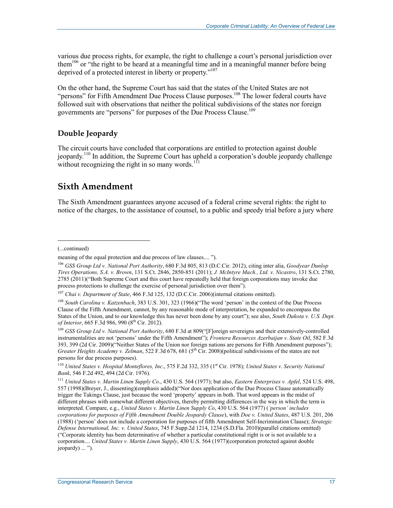various due process rights, for example, the right to challenge a court's personal jurisdiction over them106 or "the right to be heard at a meaningful time and in a meaningful manner before being deprived of a protected interest in liberty or property."107

On the other hand, the Supreme Court has said that the states of the United States are not "persons" for Fifth Amendment Due Process Clause purposes.<sup>108</sup> The lower federal courts have followed suit with observations that neither the political subdivisions of the states nor foreign governments are "persons" for purposes of the Due Process Clause.<sup>109</sup>

#### **Double Jeopardy**

The circuit courts have concluded that corporations are entitled to protection against double jeopardy.110 In addition, the Supreme Court has upheld a corporation's double jeopardy challenge without recognizing the right in so many words.<sup>111</sup>

### **Sixth Amendment**

The Sixth Amendment guarantees anyone accused of a federal crime several rights: the right to notice of the charges, to the assistance of counsel, to a public and speedy trial before a jury where

(...continued)

 $\overline{a}$ 

meaning of the equal protection and due process of law clauses.... ").

<sup>106</sup> *GSS Group Ltd v. National Port Authority*, 680 F.3d 805, 813 (D.C.Cir. 2012), citing inter alia, *Goodyear Dunlop Tires Operations, S.A. v. Brown*, 131 S.Ct. 2846, 2850-851 (2011); *J. McIntyre Mach., Ltd. v. Nicastro*, 131 S.Ct. 2780, 2785 (2011)("Both Supreme Court and this court have repeatedly held that foreign corporations may invoke due process protections to challenge the exercise of personal jurisdiction over them").

<sup>107</sup> *Chai v. Department of State*, 466 F.3d 125, 132 (D.C.Cir. 2006)(internal citations omitted).

<sup>108</sup> *South Carolina v. Katzenbach*, 383 U.S. 301, 323 (1966)("The word 'person' in the context of the Due Process Clause of the Fifth Amendment, cannot, by any reasonable mode of interpretation, be expanded to encompass the States of the Union, and to our knowledge this has never been done by any court"); see also, *South Dakota v. U.S. Dept. of Interior*, 665 F.3d 986, 990 (8<sup>th</sup> Cir. 2012).

<sup>109</sup> *GSS Group Ltd v. National Port Authority*, 680 F.3d at 809("[F]oreign sovereigns and their extensively-controlled instrumentalities are not 'persons' under the Fifth Amendment"); *Frontera Resources Azerbaijan v. State Oil*, 582 F.3d 393, 399 (2d Cir. 2009)("Neither States of the Union nor foreign nations are persons for Fifth Amendment purposes"); *Greater Heights Academy v. Zelman, 522 F.3d 678, 681 (5<sup>th</sup> Cir. 2008)(political subdivisions of the states are not* persons for due process purposes).

<sup>&</sup>lt;sup>110</sup> *United States v. Hospital Monteflores, Inc.*, 575 F.2d 332, 335 (1<sup>st</sup> Cir. 1978); *United States v. Security National Bank*, 546 F.2d 492, 494 (2d Cir. 1976).

<sup>111</sup> *United States v. Martin Linen Supply Co*., 430 U.S. 564 (1977); but also, *Eastern Enterprises v. Apfel*, 524 U.S. 498, 557 (1998)(Breyer, J., dissenting)(emphasis added)("Nor does application of the Due Process Clause automatically trigger the Takings Clause, just because the word 'property' appears in both. That word appears in the midst of different phrases with somewhat different objectives, thereby permitting differences in the way in which the term is interpreted. Compare, e.g., *United States v. Martin Linen Supply Co*, 430 U.S. 564 (1977) (*'person' includes corporations for purposes of Fifth Amendment Double Jeopardy Clause*), with *Doe v. United States*, 487 U.S. 201, 206 (1988) ('person' does not include a corporation for purposes of fifth Amendment Self-Incrimination Clause); *Strategic Defense International, Inc. v. United States*, 745 F.Supp.2d 1214, 1234 (S.D.Fla. 2010)(parallel citations omitted) ("Corporate identity has been determinative of whether a particular constitutional right is or is not available to a corporation.... *United States v. Martin Linen Supply*, 430 U.S. 564 (1977)(corporation protected against double jeopardy) ... ").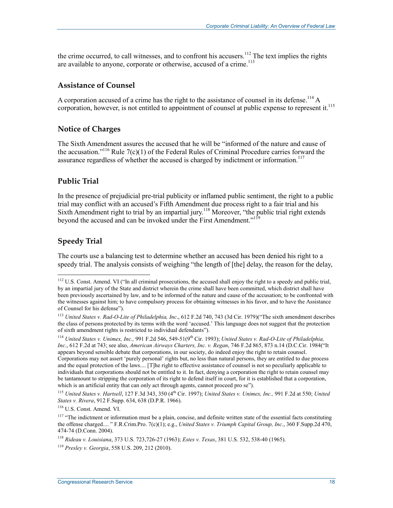the crime occurred, to call witnesses, and to confront his accusers.<sup>112</sup> The text implies the rights are available to anyone, corporate or otherwise, accused of a crime.<sup>113</sup>

#### **Assistance of Counsel**

A corporation accused of a crime has the right to the assistance of counsel in its defense.<sup>114</sup> A corporation, however, is not entitled to appointment of counsel at public expense to represent it.<sup>115</sup>

#### **Notice of Charges**

The Sixth Amendment assures the accused that he will be "informed of the nature and cause of the accusation.<sup>"116</sup> Rule 7(c)(1) of the Federal Rules of Criminal Procedure carries forward the assurance regardless of whether the accused is charged by indictment or information.<sup>117</sup>

#### **Public Trial**

In the presence of prejudicial pre-trial publicity or inflamed public sentiment, the right to a public trial may conflict with an accused's Fifth Amendment due process right to a fair trial and his Sixth Amendment right to trial by an impartial jury.<sup>118</sup> Moreover, "the public trial right extends beyond the accused and can be invoked under the First Amendment."<sup>119</sup>

#### **Speedy Trial**

1

The courts use a balancing test to determine whether an accused has been denied his right to a speedy trial. The analysis consists of weighing "the length of [the] delay, the reason for the delay,

<sup>115</sup> *United States v. Hartsell*, 127 F.3d 343, 350 (4<sup>th</sup> Cir. 1997); *United States v. Unimex, Inc.*, 991 F.2d at 550; *United States v. Rivera*, 912 F.Supp. 634, 638 (D.P.R. 1966).

116 U.S. Const. Amend. VI.

 $112$  U.S. Const. Amend. VI ("In all criminal prosecutions, the accused shall enjoy the right to a speedy and public trial, by an impartial jury of the State and district wherein the crime shall have been committed, which district shall have been previously ascertained by law, and to be informed of the nature and cause of the accusation; to be confronted with the witnesses against him; to have compulsory process for obtaining witnesses in his favor, and to have the Assistance of Counsel for his defense").

<sup>113</sup> *United States v. Rad-O-Lite of Philadelphia, Inc*., 612 F.2d 740, 743 (3d Cir. 1979)("The sixth amendment describes the class of persons protected by its terms with the word 'accused.' This language does not suggest that the protection of sixth amendment rights is restricted to individual defendants").

<sup>114</sup> *United States v. Unimex, Inc.,* 991 F.2d 546, 549-51(9th Cir. 1993); *United States v. Rad-O-Lite of Philadelphia, Inc*., 612 F.2d at 743; see also, *American Airways Charters, Inc. v. Regan*, 746 F.2d 865, 873 n.14 (D.C.Cir. 1984("It appears beyond sensible debate that corporations, in our society, do indeed enjoy the right to retain counsel. Corporations may not assert 'purely personal' rights but, no less than natural persons, they are entitled to due process and the equal protection of the laws.... [T]he right to effective assistance of counsel is not so peculiarly applicable to individuals that corporations should not be entitled to it. In fact, denying a corporation the right to retain counsel may be tantamount to stripping the corporation of its right to defend itself in court, for it is established that a corporation, which is an artificial entity that can only act through agents, cannot proceed pro se").

 $117$  "The indictment or information must be a plain, concise, and definite written state of the essential facts constituting the offense charged.... " F.R.Crim.Pro. 7(c)(1); e.g., *United States v. Triumph Capital Group, Inc*., 360 F.Supp.2d 470, 474-74 (D.Conn. 2004).

<sup>118</sup> *Rideau v. Louisiana*, 373 U.S. 723,726-27 (1963); *Estes v. Texas*, 381 U.S. 532, 538-40 (1965).

<sup>119</sup> *Presley v. Georgia*, 558 U.S. 209, 212 (2010).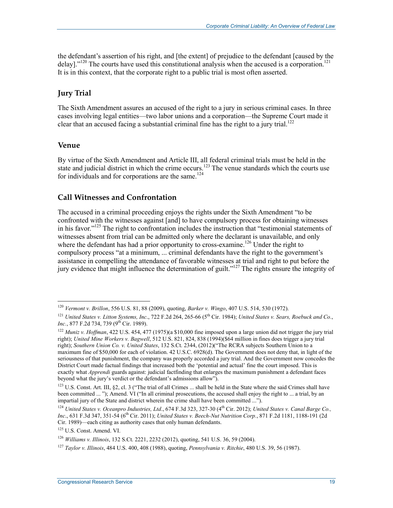the defendant's assertion of his right, and [the extent] of prejudice to the defendant [caused by the delay]."<sup>120</sup> The courts have used this constitutional analysis when the accused is a corporation.<sup>121</sup> It is in this context, that the corporate right to a public trial is most often asserted.

#### **Jury Trial**

The Sixth Amendment assures an accused of the right to a jury in serious criminal cases. In three cases involving legal entities—two labor unions and a corporation—the Supreme Court made it clear that an accused facing a substantial criminal fine has the right to a jury trial.<sup>122</sup>

#### **Venue**

1

By virtue of the Sixth Amendment and Article III, all federal criminal trials must be held in the state and judicial district in which the crime occurs.<sup>123</sup> The venue standards which the courts use for individuals and for corporations are the same. $124$ 

#### **Call Witnesses and Confrontation**

The accused in a criminal proceeding enjoys the rights under the Sixth Amendment "to be confronted with the witnesses against [and] to have compulsory process for obtaining witnesses in his favor."<sup>125</sup> The right to confrontation includes the instruction that "testimonial statements of witnesses absent from trial can be admitted only where the declarant is unavailable, and only where the defendant has had a prior opportunity to cross-examine.<sup>126</sup> Under the right to compulsory process "at a minimum, ... criminal defendants have the right to the government's assistance in compelling the attendance of favorable witnesses at trial and right to put before the jury evidence that might influence the determination of guilt."<sup>127</sup> The rights ensure the integrity of

<sup>120</sup> *Vermont v. Brillon*, 556 U.S. 81, 88 (2009), quoting, *Barker v. Wingo*, 407 U.S. 514, 530 (1972).

<sup>&</sup>lt;sup>121</sup> *United States v. Litton Systems, Inc., 722 F.2d 264, 265-66 (5<sup>th</sup> Cir. 1984); <i>United States v. Sears, Roebuck and Co., Inc.*, 877 F.2d 734, 739 (9<sup>th</sup> Cir. 1989).

<sup>122</sup> *Muniz v. Hoffman*, 422 U.S. 454, 477 (1975)(a \$10,000 fine imposed upon a large union did not trigger the jury trial right); *United Mine Workers v. Bagwell*, 512 U.S. 821, 824, 838 (1994)(\$64 million in fines does trigger a jury trial right); *Southern Union Co. v. United States*, 132 S.Ct. 2344, (2012)("The RCRA subjects Southern Union to a maximum fine of \$50,000 for each of violation. 42 U.S.C. 6928(d). The Government does not deny that, in light of the seriousness of that punishment, the company was properly accorded a jury trial. And the Government now concedes the District Court made factual findings that increased both the 'potential and actual' fine the court imposed. This is exactly what *Apprendi* guards against: judicial factfinding that enlarges the maximum punishment a defendant faces beyond what the jury's verdict or the defendant's admissions allow").

<sup>&</sup>lt;sup>123</sup> U.S. Const. Art. III, §2, cl. 3 ("The trial of all Crimes ... shall be held in the State where the said Crimes shall have been committed ... "); Amend. VI ("In all criminal prosecutions, the accused shall enjoy the right to ... a trial, by an impartial jury of the State and district wherein the crime shall have been committed ...").

<sup>124</sup> *United States v. Oceanpro Industries, Ltd*., 674 F.3d 323, 327-30 (4th Cir. 2012); *United States v. Canal Barge Co., Inc*., 631 F.3d 347, 351-54 (6th Cir. 2011); *United States v. Beech-Nut Nutrition Corp.*, 871 F.2d 1181, 1188-191 (2d Cir. 1989)—each citing as authority cases that only human defendants.

<sup>125</sup> U.S. Const. Amend. VI.

<sup>126</sup> *Williams v. Illinois*, 132 S.Ct. 2221, 2232 (2012), quoting, 541 U.S. 36, 59 (2004).

<sup>127</sup> *Taylor v. Illinois*, 484 U.S. 400, 408 (1988), quoting, *Pennsylvania v. Ritchie*, 480 U.S. 39, 56 (1987).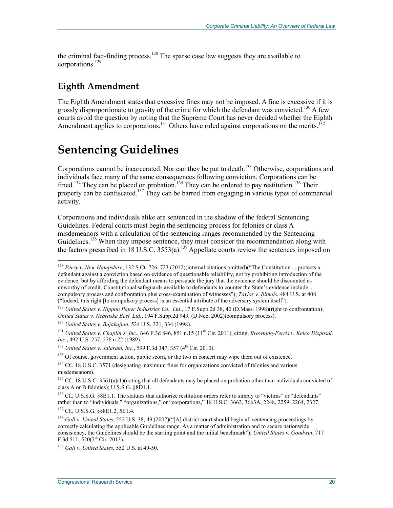the criminal fact-finding process.<sup>128</sup> The sparse case law suggests they are available to corporations.129

### **Eighth Amendment**

1

The Eighth Amendment states that excessive fines may not be imposed. A fine is excessive if it is grossly disproportionate to gravity of the crime for which the defendant was convicted.<sup>130</sup> A few courts avoid the question by noting that the Supreme Court has never decided whether the Eighth Amendment applies to corporations.<sup>131</sup> Others have ruled against corporations on the merits.<sup>132</sup>

## **Sentencing Guidelines**

Corporations cannot be incarcerated. Nor can they be put to death.<sup>133</sup> Otherwise, corporations and individuals face many of the same consequences following conviction. Corporations can be fined.<sup>134</sup> They can be placed on probation.<sup>135</sup> They can be ordered to pay restitution.<sup>136</sup> Their property can be confiscated.<sup>137</sup> They can be barred from engaging in various types of commercial activity.

Corporations and individuals alike are sentenced in the shadow of the federal Sentencing Guidelines. Federal courts must begin the sentencing process for felonies or class A misdemeanors with a calculation of the sentencing ranges recommended by the Sentencing Guidelines.<sup>138</sup> When they impose sentence, they must consider the recommendation along with the factors prescribed in 18 U.S.C. 3553(a).<sup>139</sup> Appellate courts review the sentences imposed on

<sup>130</sup> *United States v. Bajakajian*, 524 U.S. 321, 334 (1998).

<sup>132</sup> *United States v. Jalaram, Inc.*, 599 F.3d 347, 357 (4<sup>th</sup> Cir. 2010).

<sup>&</sup>lt;sup>128</sup> *Perry v. New Hampshire*, 132 S.Ct. 726, 723 (2012)(internal citations omitted)("The Constitution ... protects a defendant against a conviction based on evidence of questionable reliability, not by prohibiting introduction of the evidence, but by affording the defendant means to persuade the jury that the evidence should be discounted as unworthy of credit. Constitutional safeguards available to defendants to counter the State's evidence include ... compulsory process and confrontation plus cross-examination of witnesses"); *Taylor v. Illinois*, 484 U.S. at 408 ("Indeed, this right [to compulsory process] is an essential attribute of the adversary system itself").

<sup>129</sup> *United States v. Nippon Paper Industries Co., Ltd.*, 17 F.Supp.2d 38, 40 (D.Mass. 1998)(right to confrontation); *United States v. Nebraska Beef, Ltd*., 194 F.Supp.2d 949, (D.Neb. 2002)(compulsory process).

<sup>&</sup>lt;sup>131</sup> *United States v. Chaplin's, Inc.*, 646 F.3d 846, 851 n.15 (11<sup>th</sup> Cir. 2011), citing, *Browning-Ferris v. Kelco Disposal*, *Inc.*, 492 U.S. 257, 276 n.22 (1989).

<sup>&</sup>lt;sup>133</sup> Of course, government action, public scorn, or the two in concert may wipe them out of existence.

<sup>&</sup>lt;sup>134</sup> Cf., 18 U.S.C. 3571 (designating maximum fines for organizations convicted of felonies and various misdemeanors).

 $135$  Cf., 18 U.S.C. 3561(a)(1)(noting that all defendants may be placed on probation other than individuals convicted of class A or B felonies); U.S.S.G. §8D1.1.

<sup>&</sup>lt;sup>136</sup> Cf., U.S.S.G. §8B1.1. The statutes that authorize restitution orders refer to simply to "victims" or "defendants" rather than to "individuals," "organizations," or "corporations," 18 U.S.C. 3663, 3663A, 2248, 2259, 2264, 2327. 137 Cf., U.S.S.G. §§8E1.2, 5E1.4.

<sup>138</sup> *Gall v. United States*, 552 U.S. 38, 49 (2007)("[A] district court should begin all sentencing proceedings by correctly calculating the applicable Guidelines range. As a matter of administration and to secure nationwide consistency, the Guidelines should be the starting point and the initial benchmark"); *United States v. Goodwin*, 717 F.3d 511,  $520(7^{\text{th}}$  Cir. 2013).

<sup>139</sup> *Gall v. United States*, 552 U.S. at 49-50.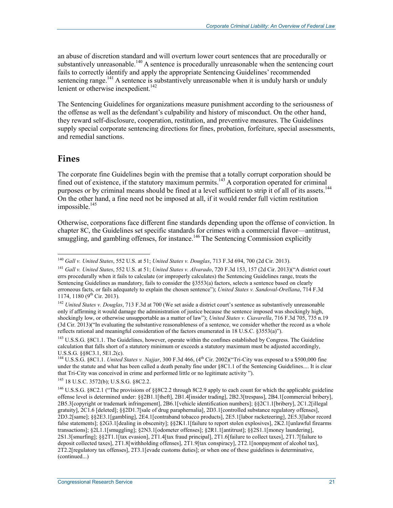an abuse of discretion standard and will overturn lower court sentences that are procedurally or substantively unreasonable.<sup>140</sup> A sentence is procedurally unreasonable when the sentencing court fails to correctly identify and apply the appropriate Sentencing Guidelines' recommended sentencing range.<sup>141</sup> A sentence is substantively unreasonable when it is unduly harsh or unduly lenient or otherwise inexpedient.<sup>142</sup>

The Sentencing Guidelines for organizations measure punishment according to the seriousness of the offense as well as the defendant's culpability and history of misconduct. On the other hand, they reward self-disclosure, cooperation, restitution, and preventive measures. The Guidelines supply special corporate sentencing directions for fines, probation, forfeiture, special assessments, and remedial sanctions.

#### **Fines**

1

The corporate fine Guidelines begin with the premise that a totally corrupt corporation should be fined out of existence, if the statutory maximum permits.<sup>143</sup> A corporation operated for criminal purposes or by criminal means should be fined at a level sufficient to strip it of all of its assets.<sup>144</sup> On the other hand, a fine need not be imposed at all, if it would render full victim restitution impossible.<sup>145</sup>

Otherwise, corporations face different fine standards depending upon the offense of conviction. In chapter 8C, the Guidelines set specific standards for crimes with a commercial flavor—antitrust, smuggling, and gambling offenses, for instance.<sup>146</sup> The Sentencing Commission explicitly

145 18 U.S.C. 3572(b); U.S.S.G. §8C2.2.

<sup>140</sup> *Gall v. United States*, 552 U.S. at 51; *United States v. Douglas*, 713 F.3d 694, 700 (2d Cir. 2013).

<sup>141</sup> *Gall v. United States*, 552 U.S. at 51; *United States v. Alvarado*, 720 F.3d 153, 157 (2d Cir. 2013)("A district court errs procedurally when it fails to calculate (or improperly calculates) the Sentencing Guidelines range, treats the Sentencing Guidelines as mandatory, fails to consider the §3553(a) factors, selects a sentence based on clearly erroneous facts, or fails adequately to explain the chosen sentence"); *United States v. Sandoval-Orellana*, 714 F.3d 1174, 1180 ( $9<sup>th</sup>$  Cir. 2013).

<sup>142</sup> *United States v. Douglas*, 713 F.3d at 700 (We set aside a district court's sentence as substantively unreasonable only if affirming it would damage the administration of justice because the sentence imposed was shockingly high, shockingly low, or otherwise unsupportable as a matter of law"); *United States v. Ciavarella*, 716 F.3d 705, 735 n.19 (3d Cir. 2013)("In evaluating the substantive reasonableness of a sentence, we consider whether the record as a whole reflects rational and meaningful consideration of the factors enumerated in 18 U.S.C. §3553(a)").

<sup>&</sup>lt;sup>143</sup> U.S.S.G. §8C1.1. The Guidelines, however, operate within the confines established by Congress. The Guideline calculation that falls short of a statutory minimum or exceeds a statutory maximum must be adjusted accordingly, U.S.S.G. §§8C3.1, 5E1.2(c).

<sup>&</sup>lt;sup>144</sup> U.S.S.G. §8C1.1. *United States v. Najjar*, 300 F.3d 466, (4<sup>th</sup> Cir. 2002)("Tri-City was exposed to a \$500,000 fine under the statute and what has been called a death penalty fine under §8C1.1 of the Sentencing Guidelines.... It is clear that Tri-City was conceived in crime and performed little or no legitimate activity ").

<sup>&</sup>lt;sup>146</sup> U.S.S.G. §8C2.1 ("The provisions of §§8C2.2 through 8C2.9 apply to each count for which the applicable guideline offense level is determined under: §§2B1.1[theft], 2B1.4[insider trading], 2B2.3[trespass], 2B4.1[commercial bribery], 2B5.3[copyright or trademark infringement], 2B6.1[vehicle identification numbers]; §§2C1.1[bribery], 2C1.2[illegal gratuity], 2C1.6 [deleted]; §§2D1.7[sale of drug paraphernalia], 2D3.1[controlled substance regulatory offenses], 2D3.2[same]; §§2E3.1[gambling], 2E4.1[contraband tobacco products], 2E5.1[labor racketeering], 2E5.3[labor record false statements]; §2G3.1[dealing in obscenity]; §§2K1.1[failure to report stolen explosives], 2K2.1[unlawful firearms transactions]; §2L1.1[smuggling]; §2N3.1[odometer offenses]; §2R1.1[antitrust]; §§2S1.1[money laundering], 2S1.3[smurfing]; §§2T1.1[tax evasion], 2T1.4[tax fraud principal], 2T1.6[failure to collect taxes], 2T1.7[failure to deposit collected taxes], 2T1.8[withholding offenses], 2T1.9[tax conspiracy], 2T2.1[nonpayment of alcohol tax], 2T2.2[regulatory tax offenses], 2T3.1[evade customs duties]; or when one of these guidelines is determinative, (continued...)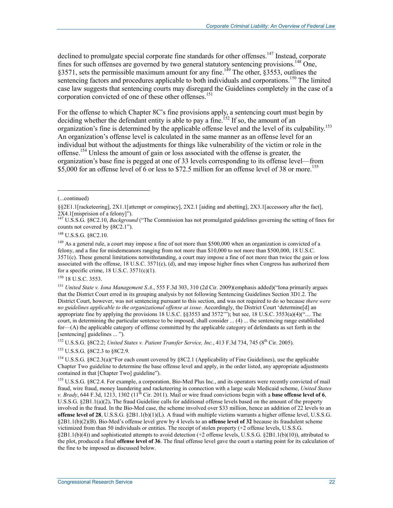declined to promulgate special corporate fine standards for other offenses.<sup>147</sup> Instead, corporate fines for such offenses are governed by two general statutory sentencing provisions.<sup>148</sup> One, §3571, sets the permissible maximum amount for any fine.<sup>149</sup> The other, §3553, outlines the sentencing factors and procedures applicable to both individuals and corporations.<sup>150</sup> The limited case law suggests that sentencing courts may disregard the Guidelines completely in the case of a corporation convicted of one of these other offenses.<sup>151</sup>

For the offense to which Chapter 8C's fine provisions apply, a sentencing court must begin by deciding whether the defendant entity is able to pay a fine.<sup>152</sup> If so, the amount of an organization's fine is determined by the applicable offense level and the level of its culpability.153 An organization's offense level is calculated in the same manner as an offense level for an individual but without the adjustments for things like vulnerability of the victim or role in the offense.154 Unless the amount of gain or loss associated with the offense is greater, the organization's base fine is pegged at one of 33 levels corresponding to its offense level—from \$5,000 for an offense level of 6 or less to \$72.5 million for an offense level of 38 or more.<sup>155</sup>

 $\overline{a}$ 

<sup>150</sup> 18 U.S.C. 3553.

<sup>152</sup> U.S.S.G. §8C2.2; *United States v. Patient Transfer Service, Inc.*, 413 F.3d 734, 745 (8<sup>th</sup> Cir. 2005).

153 U.S.S.G. §8C2.3 to §8C2.9.

<sup>154</sup> U.S.S.G. §8C2.3(a)("For each count covered by §8C2.1 (Applicability of Fine Guidelines), use the applicable Chapter Two guideline to determine the base offense level and apply, in the order listed, any appropriate adjustments contained in that [Chapter Two] guideline").

<sup>155</sup> U.S.S.G. §8C2.4. For example, a corporation, Bio-Med Plus Inc., and its operators were recently convicted of mail fraud, wire fraud, money laundering and racketeering in connection with a large scale Medicaid scheme, *United States v. Brady*, 644 F.3d, 1213, 1302 (11<sup>th</sup> Cir. 2011). Mail or wire fraud convictions begin with a **base offense level of 6**, U.S.S.G. §2B1.1(a)(2)**.** The fraud Guideline calls for additional offense levels based on the amount of the property involved in the fraud. In the Bio-Med case, the scheme involved over \$33 million, hence an addition of 22 levels to an **offense level of 28**, U.S.S.G. §2B1.1(b)(1)(L). A fraud with multiple victims warrants a higher offense level, U.S.S.G. §2B1.1(b)(2)(B). Bio-Med's offense level grew by 4 levels to an **offense level of 32** because its fraudulent scheme victimized from than 50 individuals or entities. The receipt of stolen property (+2 offense levels, U.S.S.G. §2B1.1(b)(4)) and sophisticated attempts to avoid detection (+2 offense levels, U.S.S.G. §2B1.1(b)(10)), attributed to the plot, produced a final **offense level of 36**. The final offense level gave the court a starting point for its calculation of the fine to be imposed as discussed below.

<sup>(...</sup>continued)

<sup>§§2</sup>E1.1[racketeering], 2X1.1[attempt or conspiracy], 2X2.1 [aiding and abetting], 2X3.1[accessory after the fact], 2X4.1[misprision of a felony]").

<sup>147</sup> U.S.S.G. §8C2.10, *Background* ("The Commission has not promulgated guidelines governing the setting of fines for counts not covered by §8C2.1").

<sup>148</sup> U.S.S.G. §8C2.10.

<sup>&</sup>lt;sup>149</sup> As a general rule, a court may impose a fine of not more than \$500,000 when an organization is convicted of a felony, and a fine for misdemeanors ranging from not more than \$10,000 to not more than \$500,000, 18 U.S.C. 3571(c). These general limitations notwithstanding, a court may impose a fine of not more than twice the gain or loss associated with the offense,  $18$  U.S.C.  $3571(c)$ , (d), and may impose higher fines when Congress has authorized them for a specific crime,  $18$  U.S.C.  $3571(c)(1)$ .

<sup>151</sup> *United State v. Iona Management S.A*., 555 F.3d 303, 310 (2d Cir. 2009)(emphasis added)("Iona primarily argues that the District Court erred in its grouping analysis by not following Sentencing Guidelines Section 3D1.2. The District Court, however, was not sentencing pursuant to this section, and was not required to do so because *there were no guidelines applicable to the organizational offense at issue*. Accordingly, the District Court 'determine[d] an appropriate fine by applying the provisions 18 U.S.C. §§3553 and 3572<sup>\*\*\*</sup>); but see, 18 U.S.C. 3553(a)(4)( $\cdot$ "... The court, in determining the particular sentence to be imposed, shall consider ... (4) ... the sentencing range established for—(A) the applicable category of offense committed by the applicable category of defendants as set forth in the [sentencing] guidelines ... ").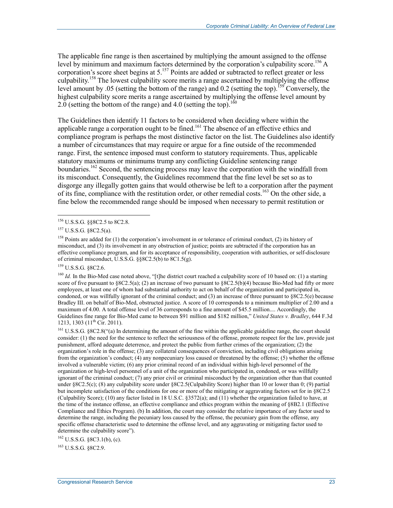The applicable fine range is then ascertained by multiplying the amount assigned to the offense level by minimum and maximum factors determined by the corporation's culpability score.<sup>156</sup> A corporation's score sheet begins at 5.<sup>157</sup> Points are added or subtracted to reflect greater or less culpability.158 The lowest culpability score merits a range ascertained by multiplying the offense level amount by .05 (setting the bottom of the range) and 0.2 (setting the top).<sup>159</sup> Conversely, the highest culpability score merits a range ascertained by multiplying the offense level amount by 2.0 (setting the bottom of the range) and 4.0 (setting the top).<sup>160</sup>

The Guidelines then identify 11 factors to be considered when deciding where within the applicable range a corporation ought to be fined.<sup>161</sup> The absence of an effective ethics and compliance program is perhaps the most distinctive factor on the list. The Guidelines also identify a number of circumstances that may require or argue for a fine outside of the recommended range. First, the sentence imposed must conform to statutory requirements. Thus, applicable statutory maximums or minimums trump any conflicting Guideline sentencing range boundaries.<sup>162</sup> Second, the sentencing process may leave the corporation with the windfall from its misconduct. Consequently, the Guidelines recommend that the fine level be set so as to disgorge any illegally gotten gains that would otherwise be left to a corporation after the payment of its fine, compliance with the restitution order, or other remedial costs.<sup>163</sup> On the other side, a fine below the recommended range should be imposed when necessary to permit restitution or

<u>.</u>

159 U.S.S.G. §8C2.6.

<sup>160</sup> *Id.* In the Bio-Med case noted above, "[t]he district court reached a culpability score of 10 based on: (1) a starting score of five pursuant to  $88C2.5(a)$ ; (2) an increase of two pursuant to  $8C2.5(b)(4)$  because Bio-Med had fifty or more employees, at least one of whom had substantial authority to act on behalf of the organization and participated in, condoned, or was willfully ignorant of the criminal conduct; and  $(3)$  an increase of three pursuant to  $\S 8C2.5(e)$  because Bradley III. on behalf of Bio-Med, obstructed justice. A score of 10 corresponds to a minimum multiplier of 2.00 and a maximum of 4.00. A total offense level of 36 corresponds to a fine amount of \$45.5 million.... Accordingly, the Guidelines fine range for Bio-Med came to between \$91 million and \$182 million," *United States v. Bradley*, 644 F.3d 1213, 1303 (11<sup>th</sup> Cir. 2011).

<sup>161</sup> U.S.S.G. §8C2.8("(a) In determining the amount of the fine within the applicable guideline range, the court should consider: (1) the need for the sentence to reflect the seriousness of the offense, promote respect for the law, provide just punishment, afford adequate deterrence, and protect the public from further crimes of the organization; (2) the organization's role in the offense; (3) any collateral consequences of conviction, including civil obligations arising from the organization's conduct; (4) any nonpecuniary loss caused or threatened by the offense; (5) whether the offense involved a vulnerable victim; (6) any prior criminal record of an individual within high-level personnel of the organization or high-level personnel of a unit of the organization who participated in, condoned, or was willfully ignorant of the criminal conduct; (7) any prior civil or criminal misconduct by the organization other than that counted under §8C2.5(c); (8) any culpability score under §8C2.5(Culpability Score) higher than 10 or lower than 0; (9) partial but incomplete satisfaction of the conditions for one or more of the mitigating or aggravating factors set for in §8C2.5 (Culpability Score); (10) any factor listed in 18 U.S.C. §3572(a); and (11) whether the organization failed to have, at the time of the instance offense, an effective compliance and ethics program within the meaning of §8B2.1 (Effective Compliance and Ethics Program). (b) In addition, the court may consider the relative importance of any factor used to determine the range, including the pecuniary loss caused by the offense, the pecuniary gain from the offense, any specific offense characteristic used to determine the offense level, and any aggravating or mitigating factor used to determine the culpability score").

 $^{162}$  U.S.S.G. §8C3.1(b), (c).

163 U.S.S.G. §8C2.9.

<sup>156</sup> U.S.S.G. §§8C2.5 to 8C2.8.

<sup>157</sup> U.S.S.G. §8C2.5(a).

<sup>&</sup>lt;sup>158</sup> Points are added for (1) the corporation's involvement in or tolerance of criminal conduct, (2) its history of misconduct, and (3) its involvement in any obstruction of justice; points are subtracted if the corporation has an effective compliance program, and for its acceptance of responsibility, cooperation with authorities, or self-disclosure of criminal misconduct, U.S.S.G. §§8C2.5(b) to 8C1.5(g).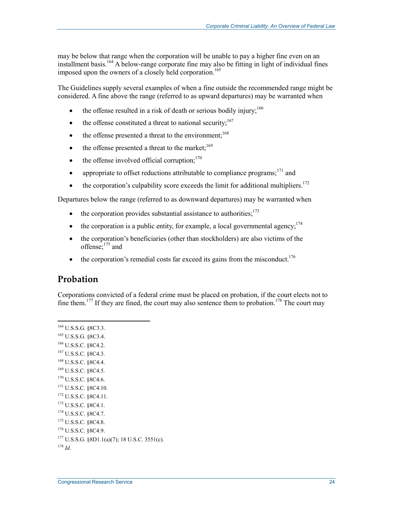may be below that range when the corporation will be unable to pay a higher fine even on an installment basis.164 A below-range corporate fine may also be fitting in light of individual fines imposed upon the owners of a closely held corporation.<sup>165</sup>

The Guidelines supply several examples of when a fine outside the recommended range might be considered. A fine above the range (referred to as upward departures) may be warranted when

- the offense resulted in a risk of death or serious bodily injury;<sup>166</sup>
- the offense constituted a threat to national security; $^{167}$
- the offense presented a threat to the environment:  $168$
- the offense presented a threat to the market:  $169$
- $\bullet$  the offense involved official corruption;<sup>170</sup>
- appropriate to offset reductions attributable to compliance programs;<sup>171</sup> and
- $\bullet$  the corporation's culpability score exceeds the limit for additional multipliers.<sup>172</sup>

Departures below the range (referred to as downward departures) may be warranted when

- $\bullet$  the corporation provides substantial assistance to authorities:  $173$
- the corporation is a public entity, for example, a local governmental agency;  $174$
- the corporation's beneficiaries (other than stockholders) are also victims of the offense;<sup>175</sup> and
- $\bullet$  the corporation's remedial costs far exceed its gains from the misconduct.<sup>176</sup>

#### **Probation**

1

Corporations convicted of a federal crime must be placed on probation, if the court elects not to fine them.<sup>177</sup> If they are fined, the court may also sentence them to probation.<sup>178</sup> The court may

164 U.S.S.G. §8C3.3. 165 U.S.S.G. §8C3.4. 166 U.S.S.C. §8C4.2. 167 U.S.S.C. §8C4.3. 168 U.S.S.C. §8C4.4. 169 U.S.S.C. §8C4.5.  $170$  U.S.S.C.  $8$ 8C4.6. 171 U.S.S.C. §8C4.10. 172 U.S.S.C. §8C4.11. 173 U.S.S.C. §8C4.1. 174 U.S.S.C. §8C4.7. 175 U.S.S.C. §8C4.8. 176 U.S.S.C. §8C4.9. 177 U.S.S.G. §8D1.1(a)(7); 18 U.S.C. 3551(c). <sup>178</sup> *Id*.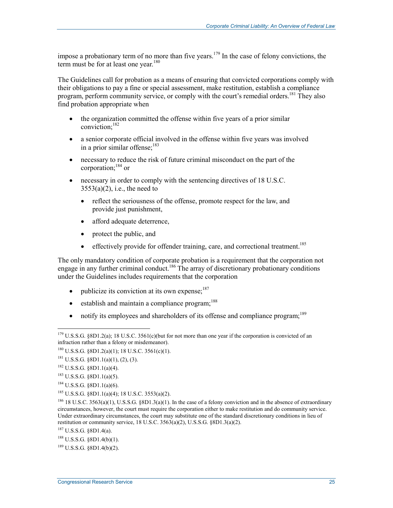impose a probationary term of no more than five years.<sup>179</sup> In the case of felony convictions, the term must be for at least one year.<sup>180</sup>

The Guidelines call for probation as a means of ensuring that convicted corporations comply with their obligations to pay a fine or special assessment, make restitution, establish a compliance program, perform community service, or comply with the court's remedial orders.<sup>181</sup> They also find probation appropriate when

- the organization committed the offense within five years of a prior similar conviction;182
- a senior corporate official involved in the offense within five years was involved in a prior similar offense: $183$
- necessary to reduce the risk of future criminal misconduct on the part of the corporation;184 or
- necessary in order to comply with the sentencing directives of 18 U.S.C.  $3553(a)(2)$ , i.e., the need to
	- reflect the seriousness of the offense, promote respect for the law, and provide just punishment,
	- afford adequate deterrence,
	- protect the public, and
	- $\bullet$  effectively provide for offender training, care, and correctional treatment.<sup>185</sup>

The only mandatory condition of corporate probation is a requirement that the corporation not engage in any further criminal conduct.<sup>186</sup> The array of discretionary probationary conditions under the Guidelines includes requirements that the corporation

- publicize its conviction at its own expense: $187$
- $\bullet$  establish and maintain a compliance program;<sup>188</sup>
- notify its employees and shareholders of its offense and compliance program; $^{189}$

<sup>1</sup>  $179 \text{ U.S.S.G. }$  §8D1.2(a); 18 U.S.C. 3561(c)(but for not more than one year if the corporation is convicted of an infraction rather than a felony or misdemeanor).

 $180$  U.S.S.G. §8D1.2(a)(1); 18 U.S.C. 3561(c)(1).

 $181$  U.S.S.G. §8D1.1(a)(1), (2), (3).

 $182 \text{ U.S.S.G. }$  §8D1.1(a)(4).

 $183$  U.S.S.G. §8D1.1(a)(5).

 $184 \text{ U.S.S.G. }$  §8D1.1(a)(6).

<sup>185</sup> U.S.S.G. §8D1.1(a)(4); 18 U.S.C. 3553(a)(2).

 $186$  18 U.S.C. 3563(a)(1), U.S.S.G. §8D1.3(a)(1). In the case of a felony conviction and in the absence of extraordinary circumstances, however, the court must require the corporation either to make restitution and do community service. Under extraordinary circumstances, the court may substitute one of the standard discretionary conditions in lieu of restitution or community service,  $18$  U.S.C.  $3563(a)(2)$ , U.S.S.G.  $\S8D1.3(a)(2)$ .

<sup>187</sup> U.S.S.G. §8D1.4(a).

 $188$  U.S.S.G. §8D1.4(b)(1).

 $189$  U.S.S.G.  $$8D1.4(b)(2)$ .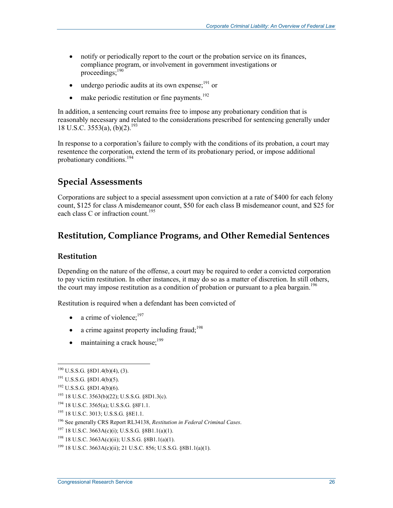- notify or periodically report to the court or the probation service on its finances, compliance program, or involvement in government investigations or proceedings;190
- undergo periodic audits at its own expense; $191$  or
- make periodic restitution or fine payments.<sup>192</sup>

In addition, a sentencing court remains free to impose any probationary condition that is reasonably necessary and related to the considerations prescribed for sentencing generally under 18 U.S.C. 3553(a), (b)(2).<sup>193</sup>

In response to a corporation's failure to comply with the conditions of its probation, a court may resentence the corporation, extend the term of its probationary period, or impose additional probationary conditions.<sup>194</sup>

### **Special Assessments**

Corporations are subject to a special assessment upon conviction at a rate of \$400 for each felony count, \$125 for class A misdemeanor count, \$50 for each class B misdemeanor count, and \$25 for each class C or infraction count.<sup>195</sup>

### **Restitution, Compliance Programs, and Other Remedial Sentences**

#### **Restitution**

Depending on the nature of the offense, a court may be required to order a convicted corporation to pay victim restitution. In other instances, it may do so as a matter of discretion. In still others, the court may impose restitution as a condition of probation or pursuant to a plea bargain.<sup>196</sup>

Restitution is required when a defendant has been convicted of

- a crime of violence: $197$
- a crime against property including fraud; $^{198}$
- maintaining a crack house; $199$

 $190$  U.S.S.G. §8D1.4(b)(4), (3).

 $191$  U.S.S.G.  $$8D1.4(b)(5)$ .

 $192$  U.S.S.G. §8D1.4(b)(6).

<sup>193 18</sup> U.S.C. 3563(b)(22); U.S.S.G. §8D1.3(c).

<sup>194 18</sup> U.S.C. 3565(a); U.S.S.G. §8F1.1.

<sup>195 18</sup> U.S.C. 3013; U.S.S.G. §8E1.1.

<sup>196</sup> See generally CRS Report RL34138, *Restitution in Federal Criminal Cases*.

<sup>&</sup>lt;sup>197</sup> 18 U.S.C. 3663A(c)(i); U.S.S.G. §8B1.1(a)(1).

<sup>&</sup>lt;sup>198</sup> 18 U.S.C. 3663A(c)(ii); U.S.S.G.  $\&$  B1.1(a)(1).

<sup>199 18</sup> U.S.C. 3663A(c)(ii); 21 U.S.C. 856; U.S.S.G. §8B1.1(a)(1).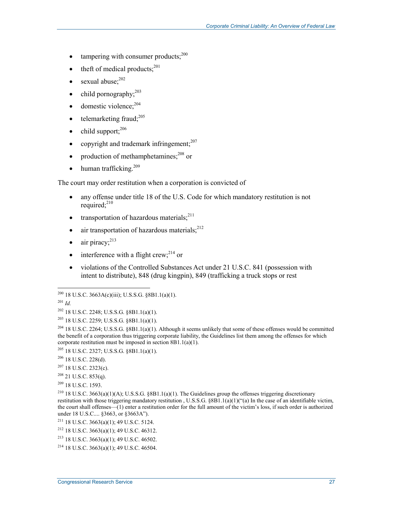- tampering with consumer products; $^{200}$
- theft of medical products;<sup>201</sup>
- sexual abuse:<sup>202</sup>
- child pornography;  $2^{03}$
- $\bullet$  domestic violence;  $204$
- telemarketing fraud; $^{205}$
- $\bullet$  child support:  $206$
- copyright and trademark infringement; $207$
- production of methamphetamines; $^{208}$  or
- $\bullet$  human trafficking.<sup>209</sup>

The court may order restitution when a corporation is convicted of

- any offense under title 18 of the U.S. Code for which mandatory restitution is not required; $^{210}$
- transportation of hazardous materials; $^{211}$
- air transportation of hazardous materials; $^{212}$
- $\bullet$  air piracy:  $^{213}$
- interference with a flight crew; $^{214}$  or
- violations of the Controlled Substances Act under 21 U.S.C. 841 (possession with intent to distribute), 848 (drug kingpin), 849 (trafficking a truck stops or rest

<sup>201</sup> *Id.*

 $^{200}$  18 U.S.C. 3663A(c)(iii); U.S.S.G. §8B1.1(a)(1).

<sup>202 18</sup> U.S.C. 2248; U.S.S.G. §8B1.1(a)(1).

<sup>203 18</sup> U.S.C. 2259; U.S.S.G. §8B1.1(a)(1).

<sup>&</sup>lt;sup>204</sup> 18 U.S.C. 2264; U.S.S.G. §8B1.1(a)(1). Although it seems unlikely that some of these offenses would be committed the benefit of a corporation thus triggering corporate liability, the Guidelines list them among the offenses for which corporate restitution must be imposed in section 8B1.1(a)(1).

<sup>205 18</sup> U.S.C. 2327; U.S.S.G. §8B1.1(a)(1).

<sup>206 18</sup> U.S.C. 228(d).

 $207$  18 U.S.C. 2323(c).

 $208$  21 U.S.C. 853(q).

<sup>209 18</sup> U.S.C. 1593.

<sup>210 18</sup> U.S.C. 3663(a)(1)(A); U.S.S.G. §8B1.1(a)(1). The Guidelines group the offenses triggering discretionary restitution with those triggering mandatory restitution , U.S.S.G. §8B1.1(a)(1)("(a) In the case of an identifiable victim, the court shall offenses—(1) enter a restitution order for the full amount of the victim's loss, if such order is authorized under 18 U.S.C.... §3663, or §3663A").

<sup>&</sup>lt;sup>211</sup> 18 U.S.C. 3663(a)(1); 49 U.S.C. 5124.

<sup>212 18</sup> U.S.C. 3663(a)(1); 49 U.S.C. 46312.

<sup>213 18</sup> U.S.C. 3663(a)(1); 49 U.S.C. 46502.

 $214$  18 U.S.C. 3663(a)(1); 49 U.S.C. 46504.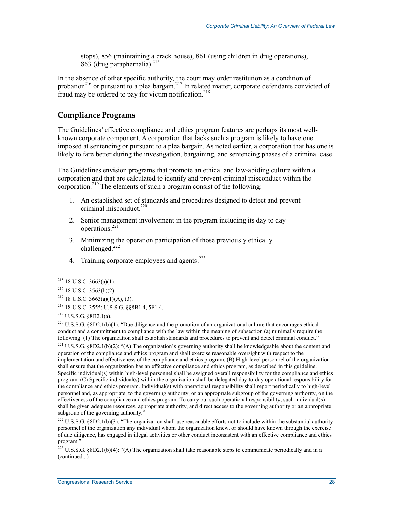stops), 856 (maintaining a crack house), 861 (using children in drug operations),  $863$  (drug paraphernalia).<sup>215</sup>

In the absence of other specific authority, the court may order restitution as a condition of probation<sup>216</sup> or pursuant to a plea bargain.<sup>217</sup> In related matter, corporate defendants convicted of fraud may be ordered to pay for victim notification.<sup>218</sup>

#### **Compliance Programs**

The Guidelines' effective compliance and ethics program features are perhaps its most wellknown corporate component. A corporation that lacks such a program is likely to have one imposed at sentencing or pursuant to a plea bargain. As noted earlier, a corporation that has one is likely to fare better during the investigation, bargaining, and sentencing phases of a criminal case.

The Guidelines envision programs that promote an ethical and law-abiding culture within a corporation and that are calculated to identify and prevent criminal misconduct within the corporation.<sup>219</sup> The elements of such a program consist of the following:

- 1. An established set of standards and procedures designed to detect and prevent criminal misconduct. $220$
- 2. Senior management involvement in the program including its day to day operations.221
- 3. Minimizing the operation participation of those previously ethically challenged.<sup>222</sup>
- 4. Training corporate employees and agents.<sup>223</sup>

1

<sup>220</sup> U.S.S.G. §8D2.1(b)(1): "Due diligence and the promotion of an organizational culture that encourages ethical conduct and a commitment to compliance with the law within the meaning of subsection (a) minimally require the following: (1) The organization shall establish standards and procedures to prevent and detect criminal conduct."

<sup>221</sup> U.S.S.G. §8D2.1(b)(2): "(A) The organization's governing authority shall be knowledgeable about the content and operation of the compliance and ethics program and shall exercise reasonable oversight with respect to the implementation and effectiveness of the compliance and ethics program. (B) High-level personnel of the organization shall ensure that the organization has an effective compliance and ethics program, as described in this guideline. Specific individual(s) within high-level personnel shall be assigned overall responsibility for the compliance and ethics program. (C) Specific individual(s) within the organization shall be delegated day-to-day operational responsibility for the compliance and ethics program. Individual(s) with operational responsibility shall report periodically to high-level personnel and, as appropriate, to the governing authority, or an appropriate subgroup of the governing authority, on the effectiveness of the compliance and ethics program. To carry out such operational responsibility, such individual(s) shall be given adequate resources, appropriate authority, and direct access to the governing authority or an appropriate subgroup of the governing authority."

<sup>222</sup> U.S.S.G. §8D2.1(b)(3): "The organization shall use reasonable efforts not to include within the substantial authority personnel of the organization any individual whom the organization knew, or should have known through the exercise of due diligence, has engaged in illegal activities or other conduct inconsistent with an effective compliance and ethics program."

<sup>223</sup> U.S.S.G. §8D2.1(b)(4): "(A) The organization shall take reasonable steps to communicate periodically and in a (continued...)

 $215$  18 U.S.C. 3663(a)(1).

<sup>216 18</sup> U.S.C. 3563(b)(2).

 $2^{17}$  18 U.S.C. 3663(a)(1)(A), (3).

<sup>218 18</sup> U.S.C. 3555; U.S.S.G. §§8B1.4, 5F1.4.

<sup>219</sup> U.S.S.G. §8B2.1(a).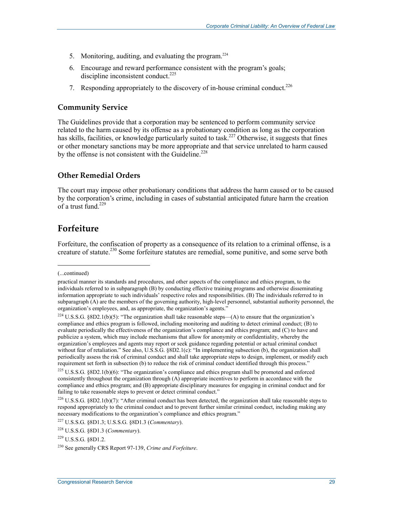- 5. Monitoring, auditing, and evaluating the program.<sup>224</sup>
- 6. Encourage and reward performance consistent with the program's goals; discipline inconsistent conduct.<sup>225</sup>
- 7. Responding appropriately to the discovery of in-house criminal conduct.<sup>226</sup>

#### **Community Service**

The Guidelines provide that a corporation may be sentenced to perform community service related to the harm caused by its offense as a probationary condition as long as the corporation has skills, facilities, or knowledge particularly suited to task.<sup>227</sup> Otherwise, it suggests that fines or other monetary sanctions may be more appropriate and that service unrelated to harm caused by the offense is not consistent with the Guideline.<sup>228</sup>

#### **Other Remedial Orders**

The court may impose other probationary conditions that address the harm caused or to be caused by the corporation's crime, including in cases of substantial anticipated future harm the creation of a trust fund  $^{229}$ 

### **Forfeiture**

Forfeiture, the confiscation of property as a consequence of its relation to a criminal offense, is a creature of statute.<sup>230</sup> Some forfeiture statutes are remedial, some punitive, and some serve both

<sup>(...</sup>continued)

practical manner its standards and procedures, and other aspects of the compliance and ethics program, to the individuals referred to in subparagraph (B) by conducting effective training programs and otherwise disseminating information appropriate to such individuals' respective roles and responsibilities. (B) The individuals referred to in subparagraph (A) are the members of the governing authority, high-level personnel, substantial authority personnel, the organization's employees, and, as appropriate, the organization's agents."

<sup>&</sup>lt;sup>224</sup> U.S.S.G. §8D2.1(b)(5): "The organization shall take reasonable steps—(A) to ensure that the organization's compliance and ethics program is followed, including monitoring and auditing to detect criminal conduct; (B) to evaluate periodically the effectiveness of the organization's compliance and ethics program; and (C) to have and publicize a system, which may include mechanisms that allow for anonymity or confidentiality, whereby the organization's employees and agents may report or seek guidance regarding potential or actual criminal conduct without fear of retaliation." See also, U.S.S.G. §8D2.1(c): "In implementing subsection (b), the organization shall periodically assess the risk of criminal conduct and shall take appropriate steps to design, implement, or modify each requirement set forth in subsection (b) to reduce the risk of criminal conduct identified through this process."

 $^{225}$  U.S.S.G. §8D2.1(b)(6): "The organization's compliance and ethics program shall be promoted and enforced consistently throughout the organization through  $(A)$  appropriate incentives to perform in accordance with the compliance and ethics program; and (B) appropriate disciplinary measures for engaging in criminal conduct and for failing to take reasonable steps to prevent or detect criminal conduct."

 $226$  U.S.S.G.  $88D2.1(b)(7)$ : "After criminal conduct has been detected, the organization shall take reasonable steps to respond appropriately to the criminal conduct and to prevent further similar criminal conduct, including making any necessary modifications to the organization's compliance and ethics program."

<sup>227</sup> U.S.S.G. §8D1.3; U.S.S.G. §8D1.3 (*Commentary*).

<sup>228</sup> U.S.S.G. §8D1.3 (*Commentary*).

 $^{229}$  U.S.S.G.  $88D1.2$ .

<sup>230</sup> See generally CRS Report 97-139, *Crime and Forfeiture*.